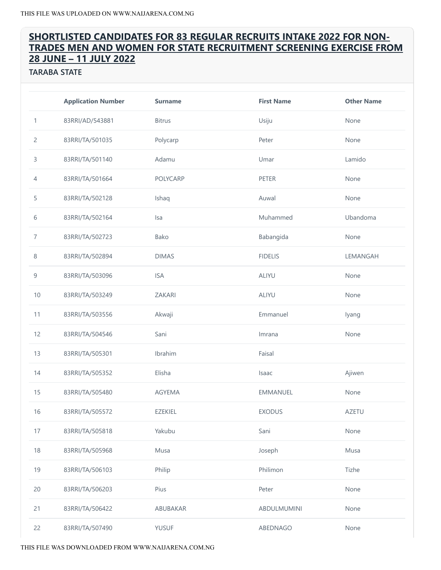# SHORTLISTED CANDIDATES FOR 83 REGULAR RECRUITS INTAKE 2022 FOR NON‐ TRADES MEN AND WOMEN FOR STATE RECRUITMENT SCREENING EXERCISE FROM JUNE – 11 JULY 2022

TARABA STATE

|                | <b>Application Number</b> | <b>Surname</b> | <b>First Name</b> | <b>Other Name</b> |
|----------------|---------------------------|----------------|-------------------|-------------------|
| $\mathbf{1}$   | 83RRI/AD/543881           | <b>Bitrus</b>  | Usiju             | None              |
| $\overline{c}$ | 83RRI/TA/501035           | Polycarp       | Peter             | None              |
| 3              | 83RRI/TA/501140           | Adamu          | Umar              | Lamido            |
| $\overline{4}$ | 83RRI/TA/501664           | POLYCARP       | PETER             | None              |
| 5              | 83RRI/TA/502128           | Ishaq          | Auwal             | None              |
| 6              | 83RRI/TA/502164           | Isa            | Muhammed          | Ubandoma          |
| 7              | 83RRI/TA/502723           | Bako           | Babangida         | None              |
| $\,8\,$        | 83RRI/TA/502894           | <b>DIMAS</b>   | <b>FIDELIS</b>    | LEMANGAH          |
| 9              | 83RRI/TA/503096           | <b>ISA</b>     | ALIYU             | None              |
| 10             | 83RRI/TA/503249           | <b>ZAKARI</b>  | ALIYU             | None              |
| 11             | 83RRI/TA/503556           | Akwaji         | Emmanuel          | lyang             |
| 12             | 83RRI/TA/504546           | Sani           | Imrana            | None              |
| 13             | 83RRI/TA/505301           | Ibrahim        | Faisal            |                   |
| 14             | 83RRI/TA/505352           | Elisha         | Isaac             | Ajiwen            |
| 15             | 83RRI/TA/505480           | AGYEMA         | EMMANUEL          | None              |
| 16             | 83RRI/TA/505572           | <b>EZEKIEL</b> | <b>EXODUS</b>     | <b>AZETU</b>      |
| 17             | 83RRI/TA/505818           | Yakubu         | Sani              | None              |
| 18             | 83RRI/TA/505968           | Musa           | Joseph            | Musa              |
| 19             | 83RRI/TA/506103           | Philip         | Philimon          | Tizhe             |
| 20             | 83RRI/TA/506203           | Pius           | Peter             | None              |
| 21             | 83RRI/TA/506422           | ABUBAKAR       | ABDULMUMINI       | None              |
| 22             | 83RRI/TA/507490           | <b>YUSUF</b>   | ABEDNAGO          | None              |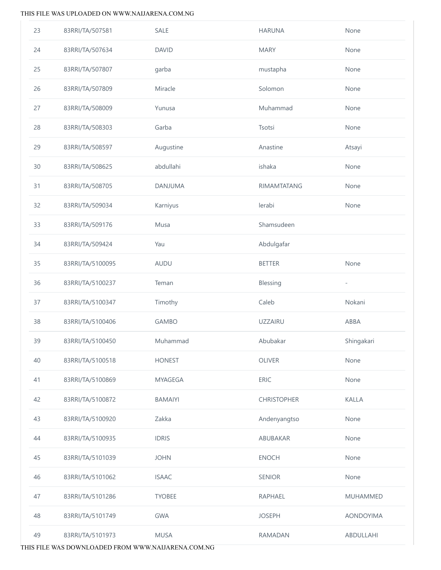| 23 | 83RRI/TA/507581  | <b>SALE</b>    | <b>HARUNA</b>      | None                     |
|----|------------------|----------------|--------------------|--------------------------|
| 24 | 83RRI/TA/507634  | <b>DAVID</b>   | <b>MARY</b>        | None                     |
| 25 | 83RRI/TA/507807  | garba          | mustapha           | None                     |
| 26 | 83RRI/TA/507809  | Miracle        | Solomon            | None                     |
| 27 | 83RRI/TA/508009  | Yunusa         | Muhammad           | None                     |
| 28 | 83RRI/TA/508303  | Garba          | Tsotsi             | None                     |
| 29 | 83RRI/TA/508597  | Augustine      | Anastine           | Atsayi                   |
| 30 | 83RRI/TA/508625  | abdullahi      | ishaka             | None                     |
| 31 | 83RRI/TA/508705  | DANJUMA        | <b>RIMAMTATANG</b> | None                     |
| 32 | 83RRI/TA/509034  | Karniyus       | lerabi             | None                     |
| 33 | 83RRI/TA/509176  | Musa           | Shamsudeen         |                          |
| 34 | 83RRI/TA/509424  | Yau            | Abdulgafar         |                          |
| 35 | 83RRI/TA/5100095 | AUDU           | <b>BETTER</b>      | None                     |
| 36 | 83RRI/TA/5100237 | Teman          | Blessing           | $\overline{\phantom{a}}$ |
| 37 | 83RRI/TA/5100347 | Timothy        | Caleb              | Nokani                   |
| 38 | 83RRI/TA/5100406 | <b>GAMBO</b>   | <b>UZZAIRU</b>     | ABBA                     |
| 39 | 83RRI/TA/5100450 | Muhammad       | Abubakar           | Shingakari               |
| 40 | 83RRI/TA/5100518 | <b>HONEST</b>  | <b>OLIVER</b>      | None                     |
| 41 | 83RRI/TA/5100869 | <b>MYAGEGA</b> | <b>ERIC</b>        | None                     |
| 42 | 83RRI/TA/5100872 | <b>BAMAIYI</b> | <b>CHRISTOPHER</b> | <b>KALLA</b>             |
| 43 | 83RRI/TA/5100920 | Zakka          | Andenyangtso       | None                     |
| 44 | 83RRI/TA/5100935 | <b>IDRIS</b>   | ABUBAKAR           | None                     |
| 45 | 83RRI/TA/5101039 | <b>JOHN</b>    | <b>ENOCH</b>       | None                     |
| 46 | 83RRI/TA/5101062 | <b>ISAAC</b>   | <b>SENIOR</b>      | None                     |
| 47 |                  |                |                    |                          |
|    | 83RRI/TA/5101286 | <b>TYOBEE</b>  | RAPHAEL            | <b>MUHAMMED</b>          |
| 48 | 83RRI/TA/5101749 | <b>GWA</b>     | <b>JOSEPH</b>      | <b>AONDOYIMA</b>         |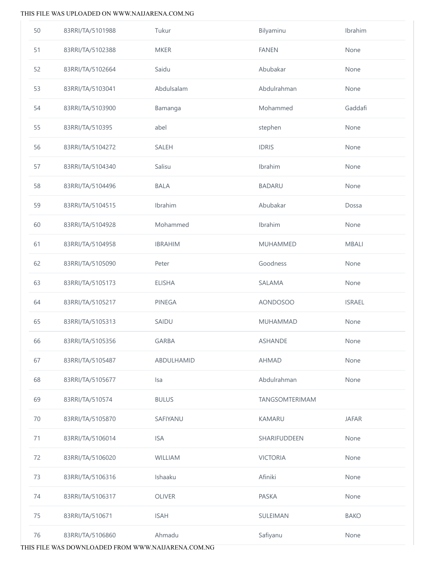| 50 | 83RRI/TA/5101988 | Tukur          | Bilyaminu       | Ibrahim       |
|----|------------------|----------------|-----------------|---------------|
| 51 | 83RRI/TA/5102388 | <b>MKER</b>    | <b>FANEN</b>    | None          |
| 52 | 83RRI/TA/5102664 | Saidu          | Abubakar        | None          |
| 53 | 83RRI/TA/5103041 | Abdulsalam     | Abdulrahman     | None          |
| 54 | 83RRI/TA/5103900 | Bamanga        | Mohammed        | Gaddafi       |
| 55 | 83RRI/TA/510395  | abel           | stephen         | None          |
| 56 | 83RRI/TA/5104272 | <b>SALEH</b>   | <b>IDRIS</b>    | None          |
| 57 | 83RRI/TA/5104340 | Salisu         | Ibrahim         | None          |
| 58 | 83RRI/TA/5104496 | <b>BALA</b>    | <b>BADARU</b>   | None          |
| 59 | 83RRI/TA/5104515 | Ibrahim        | Abubakar        | Dossa         |
| 60 | 83RRI/TA/5104928 | Mohammed       | Ibrahim         | None          |
| 61 | 83RRI/TA/5104958 | <b>IBRAHIM</b> | <b>MUHAMMED</b> | <b>MBALI</b>  |
| 62 | 83RRI/TA/5105090 | Peter          | Goodness        | None          |
| 63 | 83RRI/TA/5105173 | <b>ELISHA</b>  | SALAMA          | None          |
| 64 | 83RRI/TA/5105217 | PINEGA         | <b>AONDOSOO</b> | <b>ISRAEL</b> |
| 65 | 83RRI/TA/5105313 | SAIDU          | <b>MUHAMMAD</b> | None          |
| 66 | 83RRI/TA/5105356 | <b>GARBA</b>   | <b>ASHANDE</b>  | None          |
| 67 | 83RRI/TA/5105487 | ABDULHAMID     | <b>AHMAD</b>    | None          |
| 68 | 83RRI/TA/5105677 | Isa            | Abdulrahman     | None          |
| 69 | 83RRI/TA/510574  | <b>BULUS</b>   | TANGSOMTERIMAM  |               |
| 70 | 83RRI/TA/5105870 | SAFIYANU       | <b>KAMARU</b>   | <b>JAFAR</b>  |
| 71 | 83RRI/TA/5106014 | <b>ISA</b>     | SHARIFUDDEEN    | None          |
| 72 | 83RRI/TA/5106020 | <b>WILLIAM</b> | <b>VICTORIA</b> | None          |
| 73 | 83RRI/TA/5106316 | Ishaaku        | Afiniki         | None          |
| 74 | 83RRI/TA/5106317 | <b>OLIVER</b>  | PASKA           | None          |
| 75 | 83RRI/TA/510671  | <b>ISAH</b>    | SULEIMAN        | <b>BAKO</b>   |
| 76 | 83RRI/TA/5106860 | Ahmadu         | Safiyanu        | None          |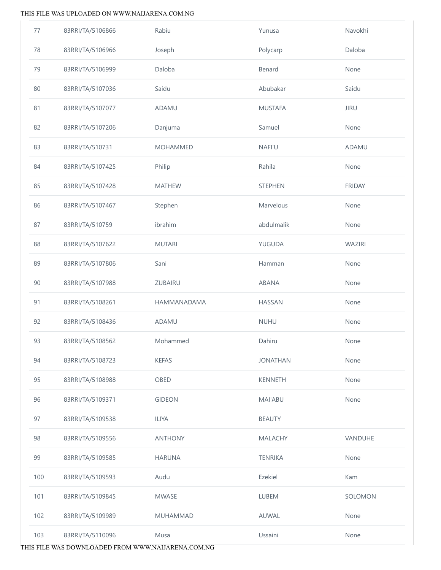| 77  | 83RRI/TA/5106866 | Rabiu           | Yunusa          | Navokhi       |
|-----|------------------|-----------------|-----------------|---------------|
| 78  | 83RRI/TA/5106966 | Joseph          | Polycarp        | Daloba        |
| 79  | 83RRI/TA/5106999 | Daloba          | Benard          | None          |
| 80  | 83RRI/TA/5107036 | Saidu           | Abubakar        | Saidu         |
| 81  | 83RRI/TA/5107077 | ADAMU           | <b>MUSTAFA</b>  | <b>JIRU</b>   |
| 82  | 83RRI/TA/5107206 | Danjuma         | Samuel          | None          |
| 83  | 83RRI/TA/510731  | <b>MOHAMMED</b> | <b>NAFI'U</b>   | ADAMU         |
| 84  | 83RRI/TA/5107425 | Philip          | Rahila          | None          |
| 85  | 83RRI/TA/5107428 | <b>MATHEW</b>   | <b>STEPHEN</b>  | <b>FRIDAY</b> |
| 86  | 83RRI/TA/5107467 | Stephen         | Marvelous       | None          |
| 87  | 83RRI/TA/510759  | ibrahim         | abdulmalik      | None          |
| 88  | 83RRI/TA/5107622 | <b>MUTARI</b>   | YUGUDA          | WAZIRI        |
| 89  | 83RRI/TA/5107806 | Sani            | Hamman          | None          |
| 90  | 83RRI/TA/5107988 | ZUBAIRU         | ABANA           | None          |
| 91  | 83RRI/TA/5108261 | HAMMANADAMA     | <b>HASSAN</b>   | None          |
| 92  | 83RRI/TA/5108436 | ADAMU           | <b>NUHU</b>     | None          |
| 93  | 83RRI/TA/5108562 | Mohammed        | Dahiru          | None          |
| 94  | 83RRI/TA/5108723 | <b>KEFAS</b>    | <b>JONATHAN</b> | None          |
| 95  | 83RRI/TA/5108988 | OBED            | <b>KENNETH</b>  | None          |
| 96  | 83RRI/TA/5109371 | <b>GIDEON</b>   | MAI'ABU         | None          |
| 97  | 83RRI/TA/5109538 | <b>ILIYA</b>    | <b>BEAUTY</b>   |               |
| 98  | 83RRI/TA/5109556 | <b>ANTHONY</b>  | <b>MALACHY</b>  | VANDUHE       |
| 99  | 83RRI/TA/5109585 | <b>HARUNA</b>   | <b>TENRIKA</b>  | None          |
| 100 | 83RRI/TA/5109593 | Audu            | Ezekiel         | Kam           |
| 101 | 83RRI/TA/5109845 | <b>MWASE</b>    | LUBEM           | SOLOMON       |
| 102 | 83RRI/TA/5109989 | MUHAMMAD        | AUWAL           | None          |
| 103 | 83RRI/TA/5110096 | Musa            | Ussaini         | None          |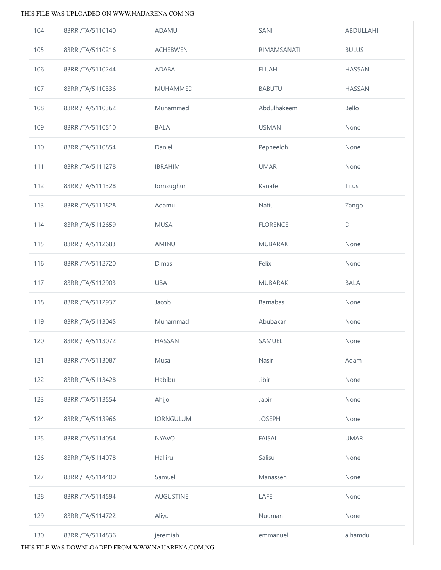| 104 | 83RRI/TA/5110140 | ADAMU            | SANI            | ABDULLAHI     |
|-----|------------------|------------------|-----------------|---------------|
| 105 | 83RRI/TA/5110216 | <b>ACHEBWEN</b>  | RIMAMSANATI     | <b>BULUS</b>  |
| 106 | 83RRI/TA/5110244 | ADABA            | <b>ELIJAH</b>   | <b>HASSAN</b> |
| 107 | 83RRI/TA/5110336 | <b>MUHAMMED</b>  | <b>BABUTU</b>   | <b>HASSAN</b> |
| 108 | 83RRI/TA/5110362 | Muhammed         | Abdulhakeem     | Bello         |
| 109 | 83RRI/TA/5110510 | <b>BALA</b>      | <b>USMAN</b>    | None          |
| 110 | 83RRI/TA/5110854 | Daniel           | Pepheeloh       | None          |
| 111 | 83RRI/TA/5111278 | <b>IBRAHIM</b>   | <b>UMAR</b>     | None          |
| 112 | 83RRI/TA/5111328 | lornzughur       | Kanafe          | <b>Titus</b>  |
| 113 | 83RRI/TA/5111828 | Adamu            | Nafiu           | Zango         |
| 114 | 83RRI/TA/5112659 | <b>MUSA</b>      | <b>FLORENCE</b> | $\mathsf D$   |
| 115 | 83RRI/TA/5112683 | AMINU            | <b>MUBARAK</b>  | None          |
| 116 | 83RRI/TA/5112720 | Dimas            | Felix           | None          |
| 117 | 83RRI/TA/5112903 | UBA              | <b>MUBARAK</b>  | <b>BALA</b>   |
| 118 | 83RRI/TA/5112937 | Jacob            | Barnabas        | None          |
| 119 | 83RRI/TA/5113045 | Muhammad         | Abubakar        | None          |
| 120 | 83RRI/TA/5113072 | <b>HASSAN</b>    | SAMUEL          | None          |
| 121 | 83RRI/TA/5113087 | Musa             | Nasir           | Adam          |
| 122 | 83RRI/TA/5113428 | Habibu           | Jibir           | None          |
| 123 | 83RRI/TA/5113554 | Ahijo            | Jabir           | None          |
| 124 | 83RRI/TA/5113966 | <b>IORNGULUM</b> | <b>JOSEPH</b>   | None          |
| 125 | 83RRI/TA/5114054 | <b>NYAVO</b>     | <b>FAISAL</b>   | <b>UMAR</b>   |
| 126 | 83RRI/TA/5114078 | Halliru          | Salisu          | None          |
| 127 | 83RRI/TA/5114400 | Samuel           | Manasseh        | None          |
| 128 | 83RRI/TA/5114594 | <b>AUGUSTINE</b> | LAFE            | None          |
| 129 | 83RRI/TA/5114722 | Aliyu            | Nuuman          | None          |
| 130 | 83RRI/TA/5114836 | jeremiah         | emmanuel        | alhamdu       |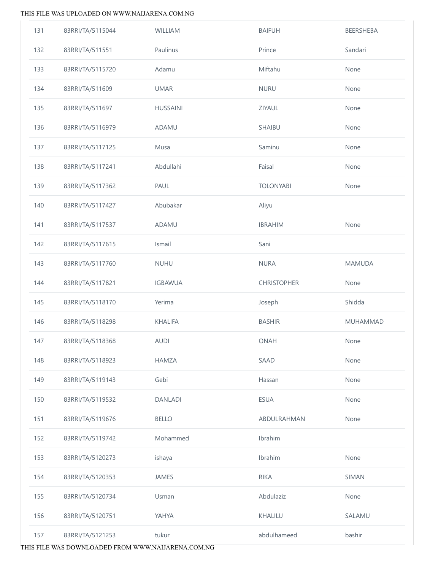| 131 | 83RRI/TA/5115044 | WILLIAM         | <b>BAIFUH</b>      | BEERSHEBA       |
|-----|------------------|-----------------|--------------------|-----------------|
| 132 | 83RRI/TA/511551  | Paulinus        | Prince             | Sandari         |
| 133 | 83RRI/TA/5115720 | Adamu           | Miftahu            | None            |
| 134 | 83RRI/TA/511609  | <b>UMAR</b>     | <b>NURU</b>        | None            |
| 135 | 83RRI/TA/511697  | <b>HUSSAINI</b> | ZIYAUL             | None            |
| 136 | 83RRI/TA/5116979 | ADAMU           | SHAIBU             | None            |
| 137 | 83RRI/TA/5117125 | Musa            | Saminu             | None            |
| 138 | 83RRI/TA/5117241 | Abdullahi       | Faisal             | None            |
| 139 | 83RRI/TA/5117362 | PAUL            | <b>TOLONYABI</b>   | None            |
| 140 | 83RRI/TA/5117427 | Abubakar        | Aliyu              |                 |
| 141 | 83RRI/TA/5117537 | <b>ADAMU</b>    | <b>IBRAHIM</b>     | None            |
| 142 | 83RRI/TA/5117615 | Ismail          | Sani               |                 |
| 143 | 83RRI/TA/5117760 | <b>NUHU</b>     | <b>NURA</b>        | <b>MAMUDA</b>   |
| 144 | 83RRI/TA/5117821 | <b>IGBAWUA</b>  | <b>CHRISTOPHER</b> | None            |
| 145 | 83RRI/TA/5118170 | Yerima          | Joseph             | Shidda          |
| 146 | 83RRI/TA/5118298 | <b>KHALIFA</b>  | <b>BASHIR</b>      | <b>MUHAMMAD</b> |
| 147 | 83RRI/TA/5118368 | <b>AUDI</b>     | ONAH               | None            |
| 148 | 83RRI/TA/5118923 | <b>HAMZA</b>    | <b>SAAD</b>        | None            |
| 149 | 83RRI/TA/5119143 | Gebi            | Hassan             | None            |
| 150 | 83RRI/TA/5119532 | <b>DANLADI</b>  | <b>ESUA</b>        | None            |
| 151 | 83RRI/TA/5119676 | <b>BELLO</b>    | ABDULRAHMAN        | None            |
| 152 | 83RRI/TA/5119742 | Mohammed        | Ibrahim            |                 |
| 153 | 83RRI/TA/5120273 | ishaya          | Ibrahim            | None            |
| 154 | 83RRI/TA/5120353 | <b>JAMES</b>    | <b>RIKA</b>        | <b>SIMAN</b>    |
| 155 | 83RRI/TA/5120734 | Usman           | Abdulaziz          | None            |
| 156 | 83RRI/TA/5120751 | YAHYA           | KHALILU            | SALAMU          |
| 157 | 83RRI/TA/5121253 | tukur           | abdulhameed        | bashir          |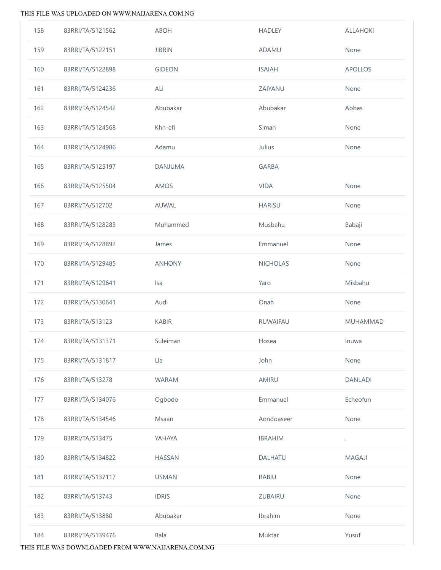| 158 | 83RRI/TA/5121562 | <b>ABOH</b>   | <b>HADLEY</b>   | <b>ALLAHOKI</b> |
|-----|------------------|---------------|-----------------|-----------------|
| 159 | 83RRI/TA/5122151 | <b>JIBRIN</b> | ADAMU           | None            |
| 160 | 83RRI/TA/5122898 | <b>GIDEON</b> | <b>ISAIAH</b>   | <b>APOLLOS</b>  |
| 161 | 83RRI/TA/5124236 | ALI           | ZAIYANU         | None            |
| 162 | 83RRI/TA/5124542 | Abubakar      | Abubakar        | Abbas           |
| 163 | 83RRI/TA/5124568 | Khn-efi       | Siman           | None            |
| 164 | 83RRI/TA/5124986 | Adamu         | Julius          | None            |
| 165 | 83RRI/TA/5125197 | DANJUMA       | <b>GARBA</b>    |                 |
| 166 | 83RRI/TA/5125504 | AMOS          | <b>VIDA</b>     | None            |
| 167 | 83RRI/TA/512702  | AUWAL         | <b>HARISU</b>   | None            |
| 168 | 83RRI/TA/5128283 | Muhammed      | Musbahu         | Babaji          |
| 169 | 83RRI/TA/5128892 | James         | Emmanuel        | None            |
| 170 | 83RRI/TA/5129485 | <b>ANHONY</b> | <b>NICHOLAS</b> | None            |
| 171 | 83RRI/TA/5129641 | Isa           | Yaro            | Misbahu         |
| 172 | 83RRI/TA/5130641 | Audi          | Onah            | None            |
| 173 | 83RRI/TA/513123  | <b>KABIR</b>  | RUWAIFAU        | MUHAMMAD        |
| 174 | 83RRI/TA/5131371 | Suleiman      | Hosea           | Inuwa           |
| 175 | 83RRI/TA/5131817 | Lla           | John            | None            |
| 176 | 83RRI/TA/513278  | <b>WARAM</b>  | AMIRU           | <b>DANLADI</b>  |
| 177 | 83RRI/TA/5134076 | Ogbodo        | Emmanuel        | Echeofun        |
| 178 | 83RRI/TA/5134546 | Msaan         | Aondoaseer      | None            |
| 179 | 83RRI/TA/513475  | YAHAYA        | <b>IBRAHIM</b>  | $\cdot$         |
| 180 | 83RRI/TA/5134822 | <b>HASSAN</b> | DALHATU         | <b>MAGAJI</b>   |
| 181 | 83RRI/TA/5137117 | <b>USMAN</b>  | <b>RABIU</b>    | None            |
| 182 | 83RRI/TA/513743  | <b>IDRIS</b>  | ZUBAIRU         | None            |
| 183 | 83RRI/TA/513880  | Abubakar      | Ibrahim         | None            |
| 184 | 83RRI/TA/5139476 | Bala          | Muktar          | Yusuf           |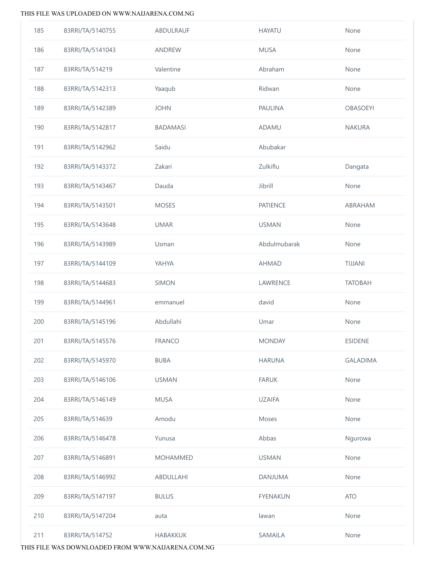| 185 | 83RRI/TA/5140755 | ABDULRAUF       | <b>HAYATU</b>   | None            |
|-----|------------------|-----------------|-----------------|-----------------|
| 186 | 83RRI/TA/5141043 | ANDREW          | <b>MUSA</b>     | None            |
| 187 | 83RRI/TA/514219  | Valentine       | Abraham         | None            |
| 188 | 83RRI/TA/5142313 | Yaaqub          | Ridwan          | None            |
| 189 | 83RRI/TA/5142389 | <b>JOHN</b>     | PAULINA         | <b>OBASOEYI</b> |
| 190 | 83RRI/TA/5142817 | <b>BADAMASI</b> | ADAMU           | <b>NAKURA</b>   |
| 191 | 83RRI/TA/5142962 | Saidu           | Abubakar        |                 |
| 192 | 83RRI/TA/5143372 | Zakari          | Zulkiflu        | Dangata         |
| 193 | 83RRI/TA/5143467 | Dauda           | Jibrill         | None            |
| 194 | 83RRI/TA/5143501 | <b>MOSES</b>    | <b>PATIENCE</b> | ABRAHAM         |
| 195 | 83RRI/TA/5143648 | <b>UMAR</b>     | <b>USMAN</b>    | None            |
| 196 | 83RRI/TA/5143989 | Usman           | Abdulmubarak    | None            |
| 197 | 83RRI/TA/5144109 | YAHYA           | <b>AHMAD</b>    | TIJJANI         |
| 198 | 83RRI/TA/5144683 | SIMON           | LAWRENCE        | <b>TATOBAH</b>  |
| 199 | 83RRI/TA/5144961 | emmanuel        | david           | None            |
| 200 | 83RRI/TA/5145196 | Abdullahi       | Umar            | None            |
| 201 | 83RRI/TA/5145576 | <b>FRANCO</b>   | <b>MONDAY</b>   | <b>ESIDENE</b>  |
| 202 | 83RRI/TA/5145970 | <b>BUBA</b>     | <b>HARUNA</b>   | <b>GALADIMA</b> |
| 203 | 83RRI/TA/5146106 | <b>USMAN</b>    | <b>FARUK</b>    | None            |
| 204 | 83RRI/TA/5146149 | <b>MUSA</b>     | <b>UZAIFA</b>   | None            |
| 205 | 83RRI/TA/514639  | Amodu           | Moses           | None            |
| 206 | 83RRI/TA/5146478 | Yunusa          | Abbas           | Ngurowa         |
| 207 | 83RRI/TA/5146891 | <b>MOHAMMED</b> | <b>USMAN</b>    | None            |
| 208 | 83RRI/TA/5146992 | ABDULLAHI       | <b>DANJUMA</b>  | None            |
| 209 | 83RRI/TA/5147197 | <b>BULUS</b>    | <b>FYENAKUN</b> | <b>ATO</b>      |
| 210 | 83RRI/TA/5147204 | auta            | lawan           | None            |
| 211 | 83RRI/TA/514752  | <b>HABAKKUK</b> | SAMAILA         | None            |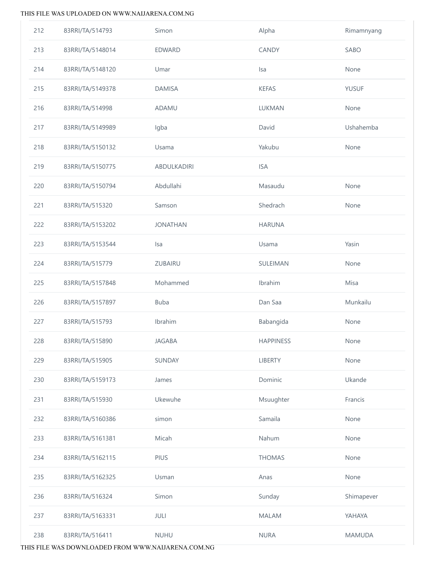| 212 | 83RRI/TA/514793  | Simon           | Alpha            | Rimamnyang    |
|-----|------------------|-----------------|------------------|---------------|
| 213 | 83RRI/TA/5148014 | <b>EDWARD</b>   | CANDY            | SABO          |
| 214 | 83RRI/TA/5148120 | Umar            | Isa              | None          |
| 215 | 83RRI/TA/5149378 | <b>DAMISA</b>   | <b>KEFAS</b>     | <b>YUSUF</b>  |
| 216 | 83RRI/TA/514998  | <b>ADAMU</b>    | <b>LUKMAN</b>    | None          |
| 217 | 83RRI/TA/5149989 | Igba            | David            | Ushahemba     |
| 218 | 83RRI/TA/5150132 | Usama           | Yakubu           | None          |
| 219 | 83RRI/TA/5150775 | ABDULKADIRI     | <b>ISA</b>       |               |
| 220 | 83RRI/TA/5150794 | Abdullahi       | Masaudu          | None          |
| 221 | 83RRI/TA/515320  | Samson          | Shedrach         | None          |
| 222 | 83RRI/TA/5153202 | <b>JONATHAN</b> | <b>HARUNA</b>    |               |
| 223 | 83RRI/TA/5153544 | <b>Isa</b>      | Usama            | Yasin         |
| 224 | 83RRI/TA/515779  | ZUBAIRU         | SULEIMAN         | None          |
| 225 | 83RRI/TA/5157848 | Mohammed        | Ibrahim          | Misa          |
| 226 | 83RRI/TA/5157897 | <b>Buba</b>     | Dan Saa          | Munkailu      |
| 227 | 83RRI/TA/515793  | Ibrahim         | Babangida        | None          |
| 228 | 83RRI/TA/515890  | <b>JAGABA</b>   | <b>HAPPINESS</b> | None          |
| 229 | 83RRI/TA/515905  | SUNDAY          | <b>LIBERTY</b>   | None          |
| 230 | 83RRI/TA/5159173 | James           | Dominic          | Ukande        |
| 231 | 83RRI/TA/515930  | Ukewuhe         | Msuughter        | Francis       |
| 232 | 83RRI/TA/5160386 | simon           | Samaila          | None          |
| 233 | 83RRI/TA/5161381 | Micah           | Nahum            | None          |
| 234 | 83RRI/TA/5162115 | PIUS            | <b>THOMAS</b>    | None          |
| 235 | 83RRI/TA/5162325 | Usman           | Anas             | None          |
| 236 | 83RRI/TA/516324  | Simon           | Sunday           | Shimapever    |
| 237 | 83RRI/TA/5163331 | JULI            | <b>MALAM</b>     | YAHAYA        |
| 238 | 83RRI/TA/516411  | <b>NUHU</b>     | <b>NURA</b>      | <b>MAMUDA</b> |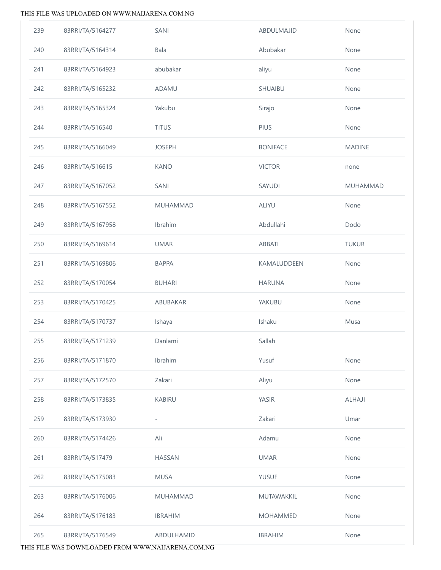| 239 | 83RRI/TA/5164277 | SANI                     | ABDULMAJID      | None          |
|-----|------------------|--------------------------|-----------------|---------------|
| 240 | 83RRI/TA/5164314 | Bala                     | Abubakar        | None          |
| 241 | 83RRI/TA/5164923 | abubakar                 | aliyu           | None          |
| 242 | 83RRI/TA/5165232 | ADAMU                    | SHUAIBU         | None          |
| 243 | 83RRI/TA/5165324 | Yakubu                   | Sirajo          | None          |
| 244 | 83RRI/TA/516540  | <b>TITUS</b>             | PIUS            | None          |
| 245 | 83RRI/TA/5166049 | <b>JOSEPH</b>            | <b>BONIFACE</b> | <b>MADINE</b> |
| 246 | 83RRI/TA/516615  | <b>KANO</b>              | <b>VICTOR</b>   | none          |
| 247 | 83RRI/TA/5167052 | SANI                     | SAYUDI          | MUHAMMAD      |
| 248 | 83RRI/TA/5167552 | MUHAMMAD                 | ALIYU           | None          |
| 249 | 83RRI/TA/5167958 | Ibrahim                  | Abdullahi       | Dodo          |
| 250 | 83RRI/TA/5169614 | <b>UMAR</b>              | ABBATI          | <b>TUKUR</b>  |
| 251 | 83RRI/TA/5169806 | <b>BAPPA</b>             | KAMALUDDEEN     | None          |
| 252 | 83RRI/TA/5170054 | <b>BUHARI</b>            | <b>HARUNA</b>   | None          |
| 253 | 83RRI/TA/5170425 | ABUBAKAR                 | YAKUBU          | None          |
| 254 | 83RRI/TA/5170737 | Ishaya                   | Ishaku          | Musa          |
| 255 | 83RRI/TA/5171239 | Danlami                  | Sallah          |               |
| 256 | 83RRI/TA/5171870 | Ibrahim                  | Yusuf           | None          |
| 257 | 83RRI/TA/5172570 | Zakari                   | Aliyu           | None          |
| 258 | 83RRI/TA/5173835 | <b>KABIRU</b>            | <b>YASIR</b>    | <b>ALHAJI</b> |
| 259 | 83RRI/TA/5173930 | $\overline{\phantom{0}}$ | Zakari          | Umar          |
| 260 | 83RRI/TA/5174426 | Ali                      | Adamu           | None          |
| 261 | 83RRI/TA/517479  | <b>HASSAN</b>            | <b>UMAR</b>     | None          |
| 262 | 83RRI/TA/5175083 | <b>MUSA</b>              | <b>YUSUF</b>    | None          |
| 263 | 83RRI/TA/5176006 | <b>MUHAMMAD</b>          | MUTAWAKKIL      | None          |
| 264 | 83RRI/TA/5176183 | <b>IBRAHIM</b>           | <b>MOHAMMED</b> | None          |
| 265 | 83RRI/TA/5176549 | ABDULHAMID               | <b>IBRAHIM</b>  | None          |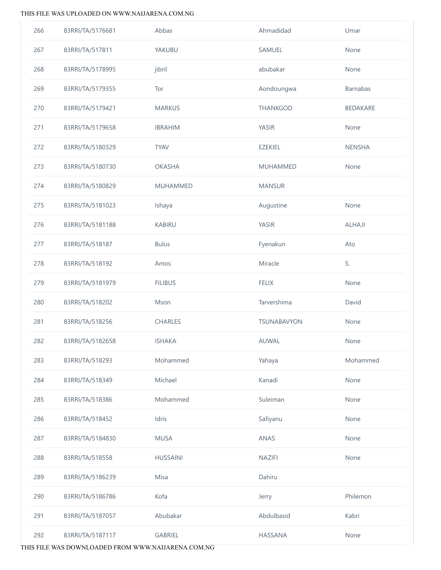| 266 | 83RRI/TA/5176681 | Abbas           | Ahmadidad          | Umar          |
|-----|------------------|-----------------|--------------------|---------------|
| 267 | 83RRI/TA/517811  | YAKUBU          | SAMUEL             | None          |
| 268 | 83RRI/TA/5178995 | jibril          | abubakar           | None          |
| 269 | 83RRI/TA/5179355 | Tor             | Aondoungwa         | Barnabas      |
| 270 | 83RRI/TA/5179421 | <b>MARKUS</b>   | THANKGOD           | BEDAKARE      |
| 271 | 83RRI/TA/5179658 | <b>IBRAHIM</b>  | <b>YASIR</b>       | None          |
| 272 | 83RRI/TA/5180329 | <b>TYAV</b>     | <b>EZEKIEL</b>     | <b>NENSHA</b> |
| 273 | 83RRI/TA/5180730 | <b>OKASHA</b>   | <b>MUHAMMED</b>    | None          |
| 274 | 83RRI/TA/5180829 | MUHAMMED        | <b>MANSUR</b>      |               |
| 275 | 83RRI/TA/5181023 | Ishaya          | Augustine          | None          |
| 276 | 83RRI/TA/5181188 | <b>KABIRU</b>   | <b>YASIR</b>       | ALHAJI        |
| 277 | 83RRI/TA/518187  | <b>Bulus</b>    | Fyenakun           | Ato           |
| 278 | 83RRI/TA/518192  | Amos            | Miracle            | S.            |
| 279 | 83RRI/TA/5181979 | <b>FILIBUS</b>  | <b>FELIX</b>       | None          |
| 280 | 83RRI/TA/518202  | Mson            | Tarvershima        | David         |
| 281 | 83RRI/TA/518256  | CHARLES         | <b>TSUNABAVYON</b> | None          |
| 282 | 83RRI/TA/5182658 | <b>ISHAKA</b>   | AUWAL              | None          |
| 283 | 83RRI/TA/518293  | Mohammed        | Yahaya             | Mohammed      |
| 284 | 83RRI/TA/518349  | Michael         | Kanadi             | None          |
| 285 | 83RRI/TA/518386  | Mohammed        | Suleiman           | None          |
| 286 | 83RRI/TA/518452  | Idris           | Safiyanu           | None          |
| 287 | 83RRI/TA/5184830 | <b>MUSA</b>     | ANAS               | None          |
| 288 | 83RRI/TA/518558  | <b>HUSSAINI</b> | NAZIFI             | None          |
| 289 | 83RRI/TA/5186239 | Misa            | Dahiru             |               |
| 290 | 83RRI/TA/5186786 | Kofa            | Jerry              | Philemon      |
| 291 | 83RRI/TA/5187057 | Abubakar        | Abdulbasid         | Kabri         |
| 292 | 83RRI/TA/5187117 | GABRIEL         | HASSANA            | None          |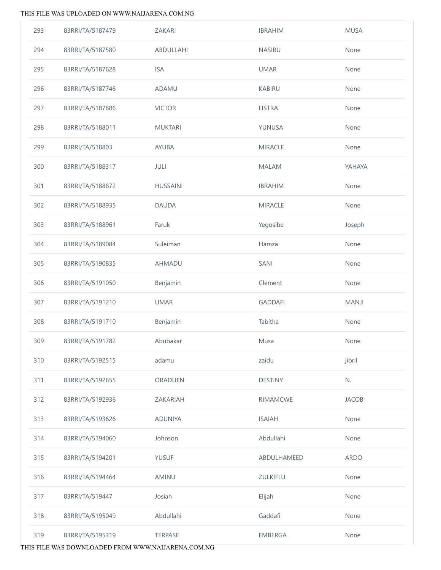| 293 | 83RRI/TA/5187479 | ZAKARI          | <b>IBRAHIM</b>  | <b>MUSA</b>  |
|-----|------------------|-----------------|-----------------|--------------|
| 294 | 83RRI/TA/5187580 | ABDULLAHI       | NASIRU          | None         |
| 295 | 83RRI/TA/5187628 | <b>ISA</b>      | <b>UMAR</b>     | None         |
| 296 | 83RRI/TA/5187746 | ADAMU           | <b>KABIRU</b>   | None         |
| 297 | 83RRI/TA/5187886 | <b>VICTOR</b>   | <b>LISTRA</b>   | None         |
| 298 | 83RRI/TA/5188011 | <b>MUKTARI</b>  | YUNUSA          | None         |
| 299 | 83RRI/TA/518803  | <b>AYUBA</b>    | <b>MIRACLE</b>  | None         |
| 300 | 83RRI/TA/5188317 | JULI            | <b>MALAM</b>    | YAHAYA       |
| 301 | 83RRI/TA/5188872 | <b>HUSSAINI</b> | <b>IBRAHIM</b>  | None         |
| 302 | 83RRI/TA/5188935 | <b>DAUDA</b>    | <b>MIRACLE</b>  | None         |
| 303 | 83RRI/TA/5188961 | Faruk           | Yegosibe        | Joseph       |
| 304 | 83RRI/TA/5189084 | Suleiman        | Hamza           | None         |
| 305 | 83RRI/TA/5190835 | AHMADU          | SANI            | None         |
| 306 | 83RRI/TA/5191050 | Benjamin        | Clement         | None         |
| 307 | 83RRI/TA/5191210 | <b>UMAR</b>     | <b>GADDAFI</b>  | MANJI        |
| 308 | 83RRI/TA/5191710 | Benjamin        | Tabitha         | None         |
| 309 | 83RRI/TA/5191782 | Abubakar        | Musa            | None         |
| 310 | 83RRI/TA/5192515 | adamu           | zaidu           | jibril       |
| 311 | 83RRI/TA/5192655 | ORADUEN         | <b>DESTINY</b>  | N.           |
| 312 | 83RRI/TA/5192936 | ZAKARIAH        | <b>RIMAMCWE</b> | <b>JACOB</b> |
| 313 | 83RRI/TA/5193626 | <b>ADUNIYA</b>  | <b>ISAIAH</b>   | None         |
| 314 | 83RRI/TA/5194060 | Johnson         | Abdullahi       | None         |
| 315 | 83RRI/TA/5194201 | <b>YUSUF</b>    | ABDULHAMEED     | ARDO         |
| 316 | 83RRI/TA/5194464 | AMINU           | ZULKIFLU        | None         |
| 317 | 83RRI/TA/519447  | Josiah          | Elijah          | None         |
| 318 | 83RRI/TA/5195049 | Abdullahi       | Gaddafi         | None         |
| 319 | 83RRI/TA/5195319 | <b>TERPASE</b>  | EMBERGA         | None         |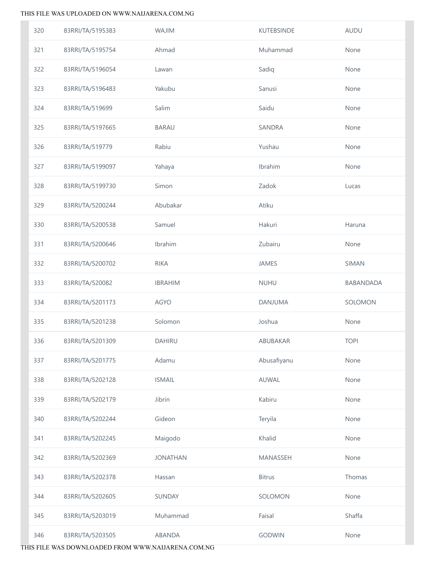| 320 | 83RRI/TA/5195383 | <b>WAJIM</b>    | <b>KUTEBSINDE</b> | <b>AUDU</b> |
|-----|------------------|-----------------|-------------------|-------------|
| 321 | 83RRI/TA/5195754 | Ahmad           | Muhammad          | None        |
| 322 | 83RRI/TA/5196054 | Lawan           | Sadiq             | None        |
| 323 | 83RRI/TA/5196483 | Yakubu          | Sanusi            | None        |
| 324 | 83RRI/TA/519699  | Salim           | Saidu             | None        |
| 325 | 83RRI/TA/5197665 | <b>BARAU</b>    | SANDRA            | None        |
| 326 | 83RRI/TA/519779  | Rabiu           | Yushau            | None        |
| 327 | 83RRI/TA/5199097 | Yahaya          | Ibrahim           | None        |
| 328 | 83RRI/TA/5199730 | Simon           | Zadok             | Lucas       |
| 329 | 83RRI/TA/5200244 | Abubakar        | Atiku             |             |
| 330 | 83RRI/TA/5200538 | Samuel          | Hakuri            | Haruna      |
| 331 | 83RRI/TA/5200646 | Ibrahim         | Zubairu           | None        |
| 332 | 83RRI/TA/5200702 | <b>RIKA</b>     | JAMES             | SIMAN       |
| 333 | 83RRI/TA/520082  | <b>IBRAHIM</b>  | <b>NUHU</b>       | BABANDADA   |
| 334 | 83RRI/TA/5201173 | <b>AGYO</b>     | DANJUMA           | SOLOMON     |
| 335 | 83RRI/TA/5201238 | Solomon         | Joshua            | None        |
| 336 | 83RRI/TA/5201309 | DAHIRU          | ABUBAKAR          | <b>TOPI</b> |
| 337 | 83RRI/TA/5201775 | Adamu           | Abusafiyanu       | None        |
| 338 | 83RRI/TA/5202128 | <b>ISMAIL</b>   | <b>AUWAL</b>      | None        |
| 339 |                  |                 |                   |             |
|     | 83RRI/TA/5202179 | Jibrin          | Kabiru            | None        |
| 340 | 83RRI/TA/5202244 | Gideon          | Teryila           | None        |
| 341 | 83RRI/TA/5202245 | Maigodo         | Khalid            | None        |
| 342 | 83RRI/TA/5202369 | <b>JONATHAN</b> | MANASSEH          | None        |
| 343 | 83RRI/TA/5202378 | Hassan          | <b>Bitrus</b>     | Thomas      |
| 344 | 83RRI/TA/5202605 | SUNDAY          | SOLOMON           | None        |
| 345 | 83RRI/TA/5203019 | Muhammad        | Faisal            | Shaffa      |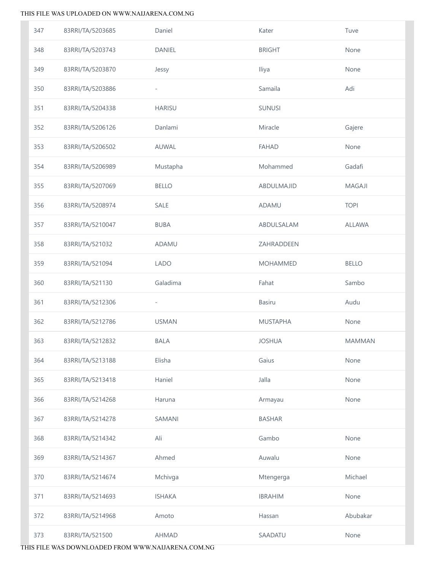| 347 | 83RRI/TA/5203685 | Daniel                   | Kater           | Tuve          |
|-----|------------------|--------------------------|-----------------|---------------|
| 348 | 83RRI/TA/5203743 | <b>DANIEL</b>            | <b>BRIGHT</b>   | None          |
| 349 | 83RRI/TA/5203870 | Jessy                    | Iliya           | None          |
| 350 | 83RRI/TA/5203886 | $\overline{\phantom{0}}$ | Samaila         | Adi           |
| 351 | 83RRI/TA/5204338 | <b>HARISU</b>            | <b>SUNUSI</b>   |               |
| 352 | 83RRI/TA/5206126 | Danlami                  | Miracle         | Gajere        |
| 353 | 83RRI/TA/5206502 | AUWAL                    | <b>FAHAD</b>    | None          |
| 354 | 83RRI/TA/5206989 | Mustapha                 | Mohammed        | Gadafi        |
| 355 | 83RRI/TA/5207069 | <b>BELLO</b>             | ABDULMAJID      | <b>MAGAJI</b> |
| 356 | 83RRI/TA/5208974 | SALE                     | ADAMU           | <b>TOPI</b>   |
| 357 | 83RRI/TA/5210047 | <b>BUBA</b>              | ABDULSALAM      | ALLAWA        |
| 358 | 83RRI/TA/521032  | ADAMU                    | ZAHRADDEEN      |               |
| 359 | 83RRI/TA/521094  | <b>LADO</b>              | <b>MOHAMMED</b> | <b>BELLO</b>  |
| 360 | 83RRI/TA/521130  | Galadima                 | Fahat           | Sambo         |
| 361 | 83RRI/TA/5212306 | $\overline{\phantom{a}}$ | <b>Basiru</b>   | Audu          |
| 362 | 83RRI/TA/5212786 | <b>USMAN</b>             | <b>MUSTAPHA</b> | None          |
| 363 | 83RRI/TA/5212832 | <b>BALA</b>              | <b>JOSHUA</b>   | <b>MAMMAN</b> |
| 364 | 83RRI/TA/5213188 | Elisha                   | Gaius           | None          |
| 365 | 83RRI/TA/5213418 | Haniel                   | Jalla           | None          |
| 366 | 83RRI/TA/5214268 | Haruna                   | Armayau         | None          |
| 367 | 83RRI/TA/5214278 | <b>SAMANI</b>            | <b>BASHAR</b>   |               |
| 368 | 83RRI/TA/5214342 | Ali                      | Gambo           | None          |
| 369 | 83RRI/TA/5214367 | Ahmed                    | Auwalu          | None          |
| 370 | 83RRI/TA/5214674 | Mchivga                  | Mtengerga       | Michael       |
| 371 | 83RRI/TA/5214693 | <b>ISHAKA</b>            | <b>IBRAHIM</b>  | None          |
| 372 | 83RRI/TA/5214968 | Amoto                    | Hassan          | Abubakar      |
| 373 | 83RRI/TA/521500  | <b>AHMAD</b>             | SAADATU         | None          |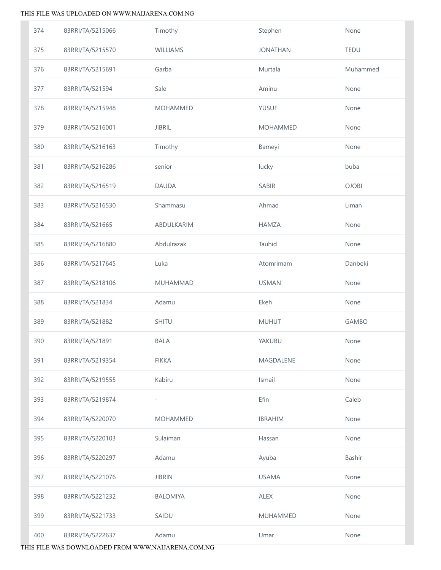| 374 | 83RRI/TA/5215066 | Timothy                  | Stephen          | None         |
|-----|------------------|--------------------------|------------------|--------------|
| 375 | 83RRI/TA/5215570 | WILLIAMS                 | <b>JONATHAN</b>  | <b>TEDU</b>  |
| 376 | 83RRI/TA/5215691 | Garba                    | Murtala          | Muhammed     |
| 377 | 83RRI/TA/521594  | Sale                     | Aminu            | None         |
| 378 | 83RRI/TA/5215948 | <b>MOHAMMED</b>          | <b>YUSUF</b>     | None         |
| 379 | 83RRI/TA/5216001 | <b>JIBRIL</b>            | <b>MOHAMMED</b>  | None         |
| 380 | 83RRI/TA/5216163 | Timothy                  | Bameyi           | None         |
| 381 | 83RRI/TA/5216286 | senior                   | lucky            | buba         |
| 382 | 83RRI/TA/5216519 | <b>DAUDA</b>             | SABIR            | <b>OJOBI</b> |
| 383 | 83RRI/TA/5216530 | Shammasu                 | Ahmad            | Liman        |
| 384 | 83RRI/TA/521665  | ABDULKARIM               | <b>HAMZA</b>     | None         |
| 385 | 83RRI/TA/5216880 | Abdulrazak               | Tauhid           | None         |
| 386 | 83RRI/TA/5217645 | Luka                     | Atomrimam        | Danbeki      |
| 387 | 83RRI/TA/5218106 | <b>MUHAMMAD</b>          | <b>USMAN</b>     | None         |
| 388 | 83RRI/TA/521834  | Adamu                    | Ekeh             | None         |
| 389 | 83RRI/TA/521882  | SHITU                    | <b>MUHUT</b>     | <b>GAMBO</b> |
| 390 | 83RRI/TA/521891  | <b>BALA</b>              | YAKUBU           | None         |
| 391 | 83RRI/TA/5219354 | <b>FIKKA</b>             | <b>MAGDALENE</b> | None         |
| 392 | 83RRI/TA/5219555 | Kabiru                   | Ismail           | None         |
| 393 | 83RRI/TA/5219874 | $\overline{\phantom{0}}$ | Efin             | Caleb        |
| 394 | 83RRI/TA/5220070 | <b>MOHAMMED</b>          | <b>IBRAHIM</b>   | None         |
| 395 | 83RRI/TA/5220103 | Sulaiman                 | Hassan           | None         |
| 396 | 83RRI/TA/5220297 | Adamu                    | Ayuba            | Bashir       |
| 397 | 83RRI/TA/5221076 | <b>JIBRIN</b>            | <b>USAMA</b>     | None         |
| 398 | 83RRI/TA/5221232 | <b>BALOMIYA</b>          | <b>ALEX</b>      | None         |
| 399 | 83RRI/TA/5221733 | SAIDU                    | <b>MUHAMMED</b>  | None         |
| 400 | 83RRI/TA/5222637 | Adamu                    | Umar             | None         |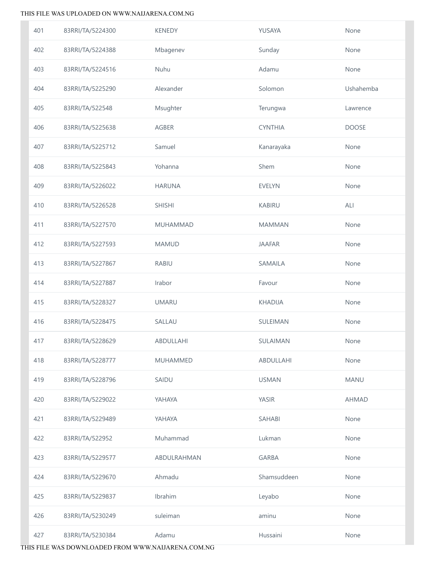| 401 | 83RRI/TA/5224300 | <b>KENEDY</b>   | YUSAYA           | None         |
|-----|------------------|-----------------|------------------|--------------|
| 402 | 83RRI/TA/5224388 | Mbagenev        | Sunday           | None         |
| 403 | 83RRI/TA/5224516 | Nuhu            | Adamu            | None         |
| 404 | 83RRI/TA/5225290 | Alexander       | Solomon          | Ushahemba    |
| 405 | 83RRI/TA/522548  | Msughter        | Terungwa         | Lawrence     |
| 406 | 83RRI/TA/5225638 | <b>AGBER</b>    | <b>CYNTHIA</b>   | <b>DOOSE</b> |
| 407 | 83RRI/TA/5225712 | Samuel          | Kanarayaka       | None         |
| 408 | 83RRI/TA/5225843 | Yohanna         | Shem             | None         |
| 409 | 83RRI/TA/5226022 | <b>HARUNA</b>   | <b>EVELYN</b>    | None         |
| 410 | 83RRI/TA/5226528 | <b>SHISHI</b>   | <b>KABIRU</b>    | ALI          |
| 411 | 83RRI/TA/5227570 | <b>MUHAMMAD</b> | <b>MAMMAN</b>    | None         |
| 412 | 83RRI/TA/5227593 | <b>MAMUD</b>    | <b>JAAFAR</b>    | None         |
| 413 | 83RRI/TA/5227867 | <b>RABIU</b>    | SAMAILA          | None         |
| 414 | 83RRI/TA/5227887 | Irabor          | Favour           | None         |
| 415 | 83RRI/TA/5228327 | <b>UMARU</b>    | <b>KHADIJA</b>   | None         |
| 416 | 83RRI/TA/5228475 | SALLAU          | SULEIMAN         | None         |
| 417 | 83RRI/TA/5228629 | ABDULLAHI       | SULAIMAN         | None         |
| 418 | 83RRI/TA/5228777 | <b>MUHAMMED</b> | <b>ABDULLAHI</b> | None         |
| 419 | 83RRI/TA/5228796 | SAIDU           | <b>USMAN</b>     | <b>MANU</b>  |
| 420 | 83RRI/TA/5229022 | YAHAYA          | <b>YASIR</b>     | <b>AHMAD</b> |
| 421 | 83RRI/TA/5229489 | YAHAYA          | <b>SAHABI</b>    | None         |
| 422 | 83RRI/TA/522952  | Muhammad        | Lukman           | None         |
| 423 | 83RRI/TA/5229577 | ABDULRAHMAN     | <b>GARBA</b>     | None         |
| 424 | 83RRI/TA/5229670 | Ahmadu          | Shamsuddeen      | None         |
| 425 | 83RRI/TA/5229837 | Ibrahim         | Leyabo           | None         |
| 426 | 83RRI/TA/5230249 | suleiman        | aminu            | None         |
| 427 | 83RRI/TA/5230384 | Adamu           | Hussaini         | None         |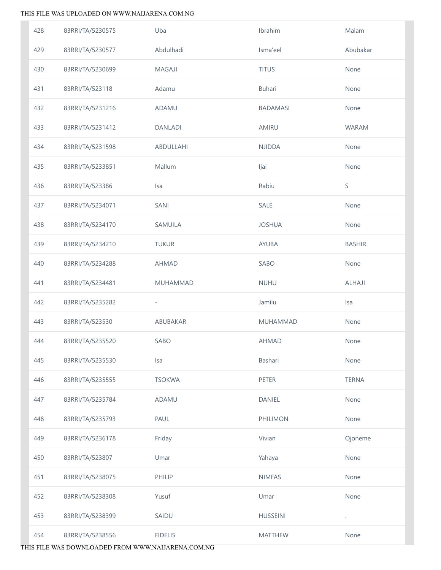| 428 | 83RRI/TA/5230575 | Uba                      | Ibrahim         | Malam         |
|-----|------------------|--------------------------|-----------------|---------------|
| 429 | 83RRI/TA/5230577 | Abdulhadi                | Isma'eel        | Abubakar      |
| 430 | 83RRI/TA/5230699 | <b>MAGAJI</b>            | <b>TITUS</b>    | None          |
| 431 | 83RRI/TA/523118  | Adamu                    | <b>Buhari</b>   | None          |
| 432 | 83RRI/TA/5231216 | ADAMU                    | <b>BADAMASI</b> | None          |
| 433 | 83RRI/TA/5231412 | <b>DANLADI</b>           | AMIRU           | <b>WARAM</b>  |
| 434 | 83RRI/TA/5231598 | ABDULLAHI                | <b>NJIDDA</b>   | None          |
| 435 | 83RRI/TA/5233851 | Mallum                   | Ijai            | None          |
| 436 | 83RRI/TA/523386  | <b>Isa</b>               | Rabiu           | S             |
| 437 | 83RRI/TA/5234071 | SANI                     | SALE            | None          |
| 438 | 83RRI/TA/5234170 | SAMUILA                  | <b>JOSHUA</b>   | None          |
| 439 | 83RRI/TA/5234210 | <b>TUKUR</b>             | AYUBA           | <b>BASHIR</b> |
| 440 | 83RRI/TA/5234288 | <b>AHMAD</b>             | SABO            | None          |
| 441 | 83RRI/TA/5234481 | <b>MUHAMMAD</b>          | <b>NUHU</b>     | <b>ALHAJI</b> |
|     |                  |                          |                 |               |
| 442 | 83RRI/TA/5235282 | $\overline{\phantom{a}}$ | Jamilu          | Isa           |
| 443 | 83RRI/TA/523530  | ABUBAKAR                 | MUHAMMAD        | None          |
| 444 | 83RRI/TA/5235520 | SABO                     | <b>AHMAD</b>    | None          |
| 445 | 83RRI/TA/5235530 | Isa                      | Bashari         | None          |
| 446 | 83RRI/TA/5235555 | <b>TSOKWA</b>            | <b>PETER</b>    | <b>TERNA</b>  |
| 447 | 83RRI/TA/5235784 | <b>ADAMU</b>             | DANIEL          | None          |
| 448 | 83RRI/TA/5235793 | PAUL                     | PHILIMON        | None          |
| 449 | 83RRI/TA/5236178 | Friday                   | Vivian          | Ojoneme       |
| 450 | 83RRI/TA/523807  | Umar                     | Yahaya          | None          |
| 451 | 83RRI/TA/5238075 | PHILIP                   | <b>NIMFAS</b>   | None          |
| 452 | 83RRI/TA/5238308 | Yusuf                    | Umar            | None          |
| 453 | 83RRI/TA/5238399 | SAIDU                    | <b>HUSSEINI</b> |               |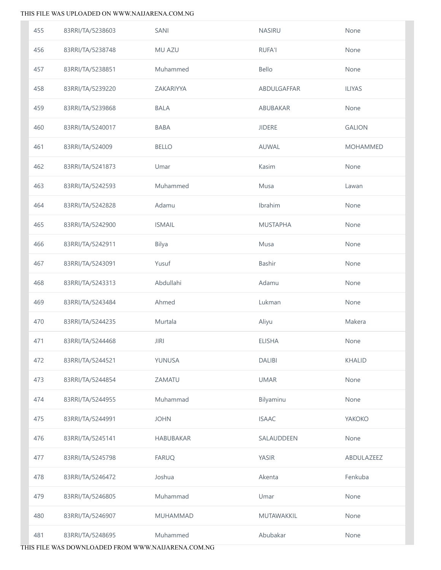| 455 | 83RRI/TA/5238603 | SANI             | <b>NASIRU</b>   | None            |
|-----|------------------|------------------|-----------------|-----------------|
| 456 | 83RRI/TA/5238748 | MU AZU           | <b>RUFA'I</b>   | None            |
| 457 | 83RRI/TA/5238851 | Muhammed         | Bello           | None            |
| 458 | 83RRI/TA/5239220 | ZAKARIYYA        | ABDULGAFFAR     | <b>ILIYAS</b>   |
| 459 | 83RRI/TA/5239868 | <b>BALA</b>      | ABUBAKAR        | None            |
| 460 | 83RRI/TA/5240017 | <b>BABA</b>      | <b>JIDERE</b>   | <b>GALION</b>   |
| 461 | 83RRI/TA/524009  | <b>BELLO</b>     | AUWAL           | <b>MOHAMMED</b> |
| 462 | 83RRI/TA/5241873 | Umar             | Kasim           | None            |
| 463 | 83RRI/TA/5242593 | Muhammed         | Musa            | Lawan           |
| 464 | 83RRI/TA/5242828 | Adamu            | Ibrahim         | None            |
| 465 | 83RRI/TA/5242900 | <b>ISMAIL</b>    | <b>MUSTAPHA</b> | None            |
| 466 | 83RRI/TA/5242911 | <b>Bilya</b>     | Musa            | None            |
| 467 | 83RRI/TA/5243091 | Yusuf            | Bashir          | None            |
| 468 | 83RRI/TA/5243313 | Abdullahi        | Adamu           | None            |
| 469 | 83RRI/TA/5243484 | Ahmed            | Lukman          | None            |
| 470 | 83RRI/TA/5244235 | Murtala          | Aliyu           | Makera          |
| 471 | 83RRI/TA/5244468 | <b>JIRI</b>      | <b>ELISHA</b>   | None            |
| 472 | 83RRI/TA/5244521 | YUNUSA           | <b>DALIBI</b>   | <b>KHALID</b>   |
| 473 | 83RRI/TA/5244854 | ZAMATU           | <b>UMAR</b>     | None            |
| 474 | 83RRI/TA/5244955 | Muhammad         | Bilyaminu       | None            |
| 475 | 83RRI/TA/5244991 | <b>JOHN</b>      | <b>ISAAC</b>    | YAKOKO          |
| 476 | 83RRI/TA/5245141 | <b>HABUBAKAR</b> | SALAUDDEEN      | None            |
| 477 | 83RRI/TA/5245798 | <b>FARUQ</b>     | <b>YASIR</b>    | ABDULAZEEZ      |
| 478 | 83RRI/TA/5246472 | Joshua           | Akenta          | Fenkuba         |
| 479 | 83RRI/TA/5246805 | Muhammad         | Umar            | None            |
| 480 | 83RRI/TA/5246907 | <b>MUHAMMAD</b>  | MUTAWAKKIL      | None            |
| 481 | 83RRI/TA/5248695 | Muhammed         | Abubakar        | None            |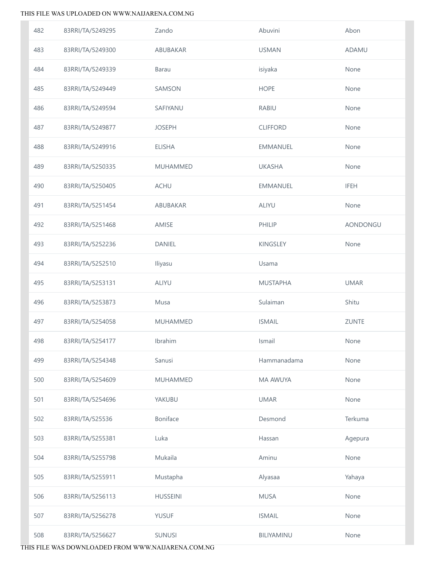| 482 | 83RRI/TA/5249295 | Zando           | Abuvini         | Abon         |
|-----|------------------|-----------------|-----------------|--------------|
| 483 | 83RRI/TA/5249300 | ABUBAKAR        | <b>USMAN</b>    | <b>ADAMU</b> |
| 484 | 83RRI/TA/5249339 | <b>Barau</b>    | isiyaka         | None         |
| 485 | 83RRI/TA/5249449 | SAMSON          | <b>HOPE</b>     | None         |
| 486 | 83RRI/TA/5249594 | SAFIYANU        | <b>RABIU</b>    | None         |
| 487 | 83RRI/TA/5249877 | <b>JOSEPH</b>   | <b>CLIFFORD</b> | None         |
| 488 | 83RRI/TA/5249916 | <b>ELISHA</b>   | <b>EMMANUEL</b> | None         |
| 489 | 83RRI/TA/5250335 | MUHAMMED        | <b>UKASHA</b>   | None         |
| 490 | 83RRI/TA/5250405 | <b>ACHU</b>     | <b>EMMANUEL</b> | <b>IFEH</b>  |
| 491 | 83RRI/TA/5251454 | ABUBAKAR        | <b>ALIYU</b>    | None         |
| 492 | 83RRI/TA/5251468 | AMISE           | PHILIP          | AONDONGU     |
| 493 | 83RRI/TA/5252236 | DANIEL          | KINGSLEY        | None         |
| 494 | 83RRI/TA/5252510 | Iliyasu         | Usama           |              |
| 495 | 83RRI/TA/5253131 | <b>ALIYU</b>    | <b>MUSTAPHA</b> | <b>UMAR</b>  |
| 496 | 83RRI/TA/5253873 | Musa            | Sulaiman        | Shitu        |
| 497 | 83RRI/TA/5254058 | MUHAMMED        | <b>ISMAIL</b>   | <b>ZUNTE</b> |
| 498 | 83RRI/TA/5254177 | Ibrahim         | Ismail          | None         |
| 499 | 83RRI/TA/5254348 | Sanusi          | Hammanadama     | None         |
| 500 | 83RRI/TA/5254609 | <b>MUHAMMED</b> | MA AWUYA        | None         |
| 501 | 83RRI/TA/5254696 | YAKUBU          | <b>UMAR</b>     | None         |
| 502 | 83RRI/TA/525536  | Boniface        | Desmond         | Terkuma      |
| 503 | 83RRI/TA/5255381 | Luka            | Hassan          | Agepura      |
| 504 | 83RRI/TA/5255798 | Mukaila         | Aminu           | None         |
| 505 | 83RRI/TA/5255911 | Mustapha        | Alyasaa         | Yahaya       |
| 506 | 83RRI/TA/5256113 | <b>HUSSEINI</b> | <b>MUSA</b>     | None         |
| 507 | 83RRI/TA/5256278 | <b>YUSUF</b>    | <b>ISMAIL</b>   | None         |
| 508 | 83RRI/TA/5256627 | <b>SUNUSI</b>   | BILIYAMINU      | None         |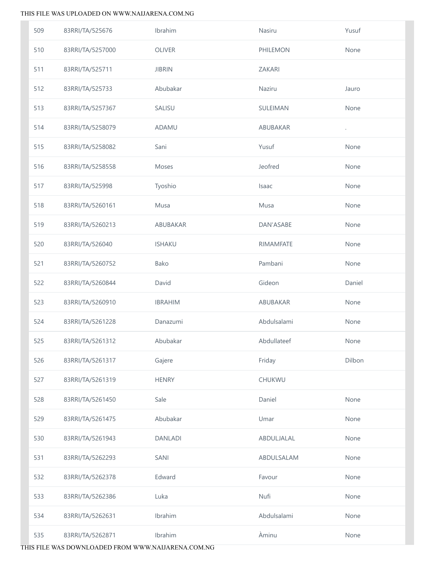| 509 | 83RRI/TA/525676  | Ibrahim        | Nasiru          | Yusuf                |
|-----|------------------|----------------|-----------------|----------------------|
| 510 | 83RRI/TA/5257000 | OLIVER         | PHILEMON        | None                 |
| 511 | 83RRI/TA/525711  | <b>JIBRIN</b>  | ZAKARI          |                      |
| 512 | 83RRI/TA/525733  | Abubakar       | Naziru          | Jauro                |
| 513 | 83RRI/TA/5257367 | SALISU         | SULEIMAN        | None                 |
| 514 | 83RRI/TA/5258079 | ADAMU          | <b>ABUBAKAR</b> | $\ddot{\phantom{0}}$ |
| 515 | 83RRI/TA/5258082 | Sani           | Yusuf           | None                 |
| 516 | 83RRI/TA/5258558 | Moses          | Jeofred         | None                 |
| 517 | 83RRI/TA/525998  | Tyoshio        | Isaac           | None                 |
| 518 | 83RRI/TA/5260161 | Musa           | Musa            | None                 |
| 519 | 83RRI/TA/5260213 | ABUBAKAR       | DAN'ASABE       | None                 |
| 520 | 83RRI/TA/526040  | <b>ISHAKU</b>  | RIMAMFATE       | None                 |
| 521 | 83RRI/TA/5260752 | Bako           | Pambani         | None                 |
| 522 | 83RRI/TA/5260844 | David          | Gideon          | Daniel               |
| 523 | 83RRI/TA/5260910 | <b>IBRAHIM</b> | ABUBAKAR        | None                 |
| 524 | 83RRI/TA/5261228 | Danazumi       | Abdulsalami     | None                 |
| 525 | 83RRI/TA/5261312 | Abubakar       | Abdullateef     | None                 |
| 526 | 83RRI/TA/5261317 | Gajere         | Friday          | Dilbon               |
| 527 | 83RRI/TA/5261319 | <b>HENRY</b>   | CHUKWU          |                      |
| 528 | 83RRI/TA/5261450 | Sale           | Daniel          | None                 |
| 529 | 83RRI/TA/5261475 | Abubakar       | Umar            | None                 |
| 530 | 83RRI/TA/5261943 | <b>DANLADI</b> | ABDULJALAL      | None                 |
| 531 | 83RRI/TA/5262293 | SANI           | ABDULSALAM      | None                 |
| 532 | 83RRI/TA/5262378 | Edward         | Favour          | None                 |
| 533 | 83RRI/TA/5262386 | Luka           | Nufi            | None                 |
| 534 | 83RRI/TA/5262631 | Ibrahim        | Abdulsalami     | None                 |
| 535 | 83RRI/TA/5262871 | Ibrahim        | Àminu           | None                 |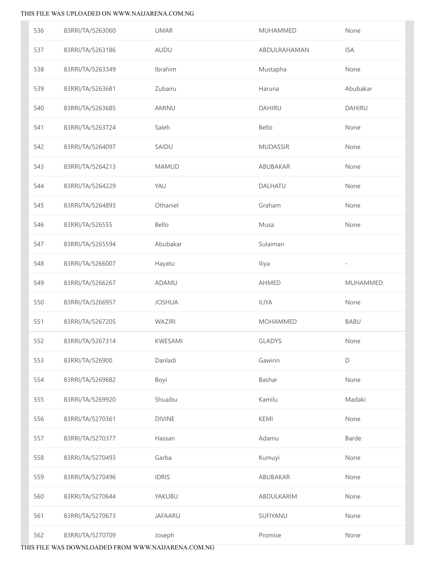| 536 | 83RRI/TA/5263060 | <b>UMAR</b>    | <b>MUHAMMED</b> | None                     |
|-----|------------------|----------------|-----------------|--------------------------|
| 537 | 83RRI/TA/5263186 | AUDU           | ABDULRAHAMAN    | <b>ISA</b>               |
| 538 | 83RRI/TA/5263349 | Ibrahim        | Mustapha        | None                     |
| 539 | 83RRI/TA/5263681 | Zubairu        | Haruna          | Abubakar                 |
| 540 | 83RRI/TA/5263685 | AMINU          | <b>DAHIRU</b>   | <b>DAHIRU</b>            |
| 541 | 83RRI/TA/5263724 | Saleh          | Bello           | None                     |
| 542 | 83RRI/TA/5264097 | SAIDU          | <b>MUDASSIR</b> | None                     |
| 543 | 83RRI/TA/5264213 | <b>MAMUD</b>   | ABUBAKAR        | None                     |
| 544 | 83RRI/TA/5264229 | YAU            | DALHATU         | None                     |
| 545 | 83RRI/TA/5264893 | Othaniel       | Graham          | None                     |
| 546 | 83RRI/TA/526555  | Bello          | Musa            | None                     |
| 547 | 83RRI/TA/5265594 | Abubakar       | Sulaiman        |                          |
| 548 | 83RRI/TA/5266007 | Hayatu         | Iliya           | $\overline{\phantom{0}}$ |
| 549 | 83RRI/TA/5266267 | ADAMU          | <b>AHMED</b>    | <b>MUHAMMED</b>          |
| 550 | 83RRI/TA/5266957 | <b>JOSHUA</b>  | <b>ILIYA</b>    | None                     |
| 551 | 83RRI/TA/5267205 | WAZIRI         | <b>MOHAMMED</b> | <b>BABU</b>              |
| 552 | 83RRI/TA/5267314 | KWESAMI        | <b>GLADYS</b>   | None                     |
| 553 | 83RRI/TA/526900  | Danladi        | Gawirin         | $\mathsf D$              |
| 554 | 83RRI/TA/5269682 | Boyi           | Bashar          | None                     |
| 555 | 83RRI/TA/5269920 | Shuaibu        | Kamilu          | Madaki                   |
| 556 | 83RRI/TA/5270361 | <b>DIVINE</b>  | KEMI            | None                     |
| 557 | 83RRI/TA/5270377 | Hassan         | Adamu           | Barde                    |
| 558 | 83RRI/TA/5270493 | Garba          | Kumuyi          | None                     |
| 559 | 83RRI/TA/5270496 | <b>IDRIS</b>   | ABUBAKAR        | None                     |
| 560 | 83RRI/TA/5270644 | YAKUBU         | ABDULKARIM      | None                     |
| 561 | 83RRI/TA/5270673 | <b>JAFAARU</b> | SUFIYANU        | None                     |
| 562 | 83RRI/TA/5270709 | Joseph         | Promise         | None                     |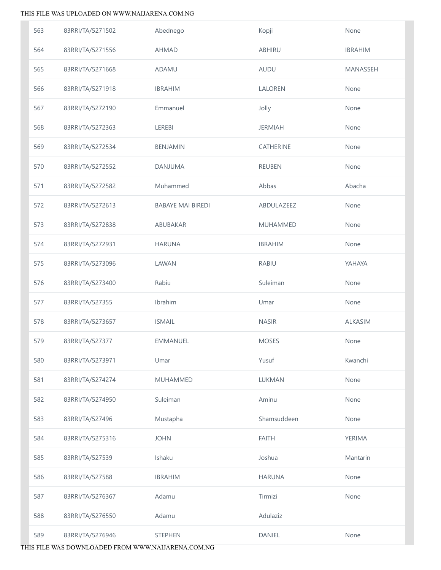| 563 | 83RRI/TA/5271502 | Abednego                 | Kopji            | None           |
|-----|------------------|--------------------------|------------------|----------------|
| 564 | 83RRI/TA/5271556 | AHMAD                    | ABHIRU           | <b>IBRAHIM</b> |
| 565 | 83RRI/TA/5271668 | ADAMU                    | AUDU             | MANASSEH       |
| 566 | 83RRI/TA/5271918 | <b>IBRAHIM</b>           | LALOREN          | None           |
| 567 | 83RRI/TA/5272190 | Emmanuel                 | Jolly            | None           |
| 568 | 83RRI/TA/5272363 | LEREBI                   | <b>JERMIAH</b>   | None           |
| 569 | 83RRI/TA/5272534 | <b>BENJAMIN</b>          | <b>CATHERINE</b> | None           |
| 570 | 83RRI/TA/5272552 | DANJUMA                  | <b>REUBEN</b>    | None           |
| 571 | 83RRI/TA/5272582 | Muhammed                 | Abbas            | Abacha         |
| 572 | 83RRI/TA/5272613 | <b>BABAYE MAI BIREDI</b> | ABDULAZEEZ       | None           |
| 573 | 83RRI/TA/5272838 | ABUBAKAR                 | <b>MUHAMMED</b>  | None           |
| 574 | 83RRI/TA/5272931 | <b>HARUNA</b>            | <b>IBRAHIM</b>   | None           |
| 575 | 83RRI/TA/5273096 | LAWAN                    | <b>RABIU</b>     | YAHAYA         |
| 576 | 83RRI/TA/5273400 | Rabiu                    | Suleiman         | None           |
| 577 | 83RRI/TA/527355  | Ibrahim                  | Umar             | None           |
| 578 | 83RRI/TA/5273657 | <b>ISMAIL</b>            | <b>NASIR</b>     | ALKASIM        |
| 579 | 83RRI/TA/527377  | EMMANUEL                 | <b>MOSES</b>     | None           |
| 580 | 83RRI/TA/5273971 | Umar                     | Yusuf            | Kwanchi        |
| 581 | 83RRI/TA/5274274 | <b>MUHAMMED</b>          | LUKMAN           | None           |
| 582 | 83RRI/TA/5274950 | Suleiman                 | Aminu            | None           |
| 583 | 83RRI/TA/527496  | Mustapha                 | Shamsuddeen      | None           |
| 584 | 83RRI/TA/5275316 | <b>JOHN</b>              | <b>FAITH</b>     | YERIMA         |
| 585 | 83RRI/TA/527539  | Ishaku                   | Joshua           | Mantarin       |
| 586 | 83RRI/TA/527588  | <b>IBRAHIM</b>           | <b>HARUNA</b>    | None           |
| 587 | 83RRI/TA/5276367 | Adamu                    | Tirmizi          | None           |
| 588 | 83RRI/TA/5276550 | Adamu                    | Adulaziz         |                |
| 589 | 83RRI/TA/5276946 | <b>STEPHEN</b>           | <b>DANIEL</b>    | None           |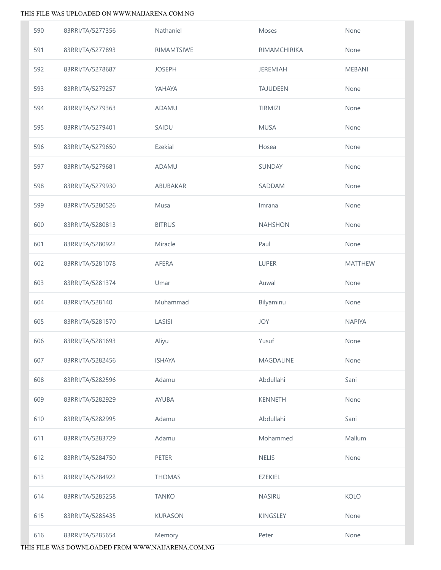| 590 | 83RRI/TA/5277356 | Nathaniel      | Moses            | None           |
|-----|------------------|----------------|------------------|----------------|
| 591 | 83RRI/TA/5277893 | RIMAMTSIWE     | RIMAMCHIRIKA     | None           |
| 592 | 83RRI/TA/5278687 | <b>JOSEPH</b>  | <b>JEREMIAH</b>  | <b>MEBANI</b>  |
| 593 | 83RRI/TA/5279257 | YAHAYA         | <b>TAJUDEEN</b>  | None           |
| 594 | 83RRI/TA/5279363 | ADAMU          | <b>TIRMIZI</b>   | None           |
| 595 | 83RRI/TA/5279401 | SAIDU          | <b>MUSA</b>      | None           |
| 596 | 83RRI/TA/5279650 | Ezekial        | Hosea            | None           |
| 597 | 83RRI/TA/5279681 | ADAMU          | SUNDAY           | None           |
| 598 | 83RRI/TA/5279930 | ABUBAKAR       | SADDAM           | None           |
| 599 | 83RRI/TA/5280526 | Musa           | Imrana           | None           |
| 600 | 83RRI/TA/5280813 | <b>BITRUS</b>  | <b>NAHSHON</b>   | None           |
| 601 | 83RRI/TA/5280922 | Miracle        | Paul             | None           |
| 602 | 83RRI/TA/5281078 | AFERA          | LUPER            | <b>MATTHEW</b> |
| 603 | 83RRI/TA/5281374 | Umar           | Auwal            | None           |
| 604 | 83RRI/TA/528140  | Muhammad       | Bilyaminu        | None           |
| 605 | 83RRI/TA/5281570 | LASISI         | JOY              | <b>NAPIYA</b>  |
| 606 | 83RRI/TA/5281693 | Aliyu          | Yusuf            | None           |
| 607 | 83RRI/TA/5282456 | <b>ISHAYA</b>  | <b>MAGDALINE</b> | None           |
| 608 | 83RRI/TA/5282596 | Adamu          | Abdullahi        | Sani           |
| 609 | 83RRI/TA/5282929 | AYUBA          | <b>KENNETH</b>   | None           |
| 610 | 83RRI/TA/5282995 | Adamu          | Abdullahi        | Sani           |
| 611 | 83RRI/TA/5283729 | Adamu          | Mohammed         | Mallum         |
| 612 | 83RRI/TA/5284750 | PETER          | <b>NELIS</b>     | None           |
| 613 | 83RRI/TA/5284922 | <b>THOMAS</b>  | <b>EZEKIEL</b>   |                |
| 614 | 83RRI/TA/5285258 | <b>TANKO</b>   | <b>NASIRU</b>    | <b>KOLO</b>    |
| 615 | 83RRI/TA/5285435 | <b>KURASON</b> | KINGSLEY         | None           |
| 616 | 83RRI/TA/5285654 | Memory         | Peter            | None           |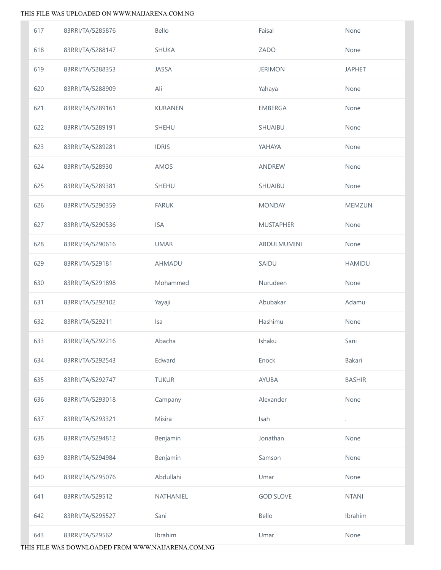| 617 | 83RRI/TA/5285876 | Bello          | Faisal           | None                 |
|-----|------------------|----------------|------------------|----------------------|
| 618 | 83RRI/TA/5288147 | <b>SHUKA</b>   | ZADO             | None                 |
| 619 | 83RRI/TA/5288353 | JASSA          | <b>JERIMON</b>   | <b>JAPHET</b>        |
| 620 | 83RRI/TA/5288909 | Ali            | Yahaya           | None                 |
| 621 | 83RRI/TA/5289161 | <b>KURANEN</b> | <b>EMBERGA</b>   | None                 |
| 622 | 83RRI/TA/5289191 | SHEHU          | SHUAIBU          | None                 |
| 623 | 83RRI/TA/5289281 | <b>IDRIS</b>   | YAHAYA           | None                 |
| 624 | 83RRI/TA/528930  | AMOS           | ANDREW           | None                 |
| 625 | 83RRI/TA/5289381 | SHEHU          | SHUAIBU          | None                 |
| 626 | 83RRI/TA/5290359 | <b>FARUK</b>   | <b>MONDAY</b>    | MEMZUN               |
| 627 | 83RRI/TA/5290536 | <b>ISA</b>     | <b>MUSTAPHER</b> | None                 |
| 628 | 83RRI/TA/5290616 | <b>UMAR</b>    | ABDULMUMINI      | None                 |
| 629 | 83RRI/TA/529181  | AHMADU         | SAIDU            | <b>HAMIDU</b>        |
| 630 | 83RRI/TA/5291898 | Mohammed       | Nurudeen         | None                 |
| 631 | 83RRI/TA/5292102 | Yayaji         | Abubakar         | Adamu                |
| 632 | 83RRI/TA/529211  | Isa            | Hashimu          | None                 |
| 633 | 83RRI/TA/5292216 | Abacha         | Ishaku           | Sani                 |
| 634 | 83RRI/TA/5292543 | Edward         | Enock            | Bakari               |
| 635 | 83RRI/TA/5292747 | <b>TUKUR</b>   | AYUBA            | <b>BASHIR</b>        |
| 636 | 83RRI/TA/5293018 | Campany        | Alexander        | None                 |
| 637 | 83RRI/TA/5293321 | Misira         | Isah             | $\ddot{\phantom{0}}$ |
| 638 | 83RRI/TA/5294812 | Benjamin       | Jonathan         | None                 |
| 639 | 83RRI/TA/5294984 | Benjamin       | Samson           | None                 |
| 640 | 83RRI/TA/5295076 | Abdullahi      | Umar             | None                 |
| 641 | 83RRI/TA/529512  | NATHANIEL      | <b>GOD'SLOVE</b> | <b>NTANI</b>         |
| 642 | 83RRI/TA/5295527 | Sani           | Bello            | Ibrahim              |
| 643 | 83RRI/TA/529562  | Ibrahim        | Umar             | None                 |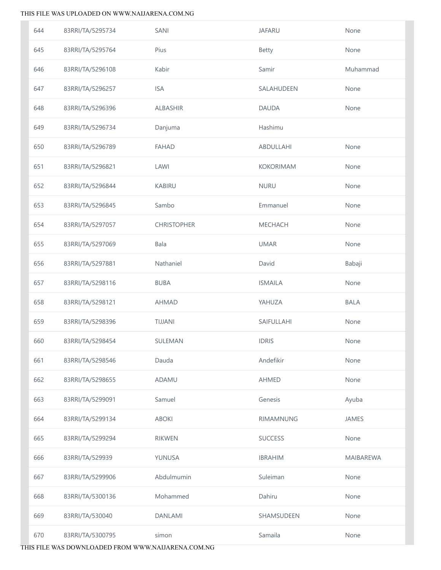| 644 | 83RRI/TA/5295734 | SANI               | <b>JAFARU</b>    | None             |
|-----|------------------|--------------------|------------------|------------------|
| 645 | 83RRI/TA/5295764 | Pius               | <b>Betty</b>     | None             |
| 646 | 83RRI/TA/5296108 | Kabir              | Samir            | Muhammad         |
| 647 | 83RRI/TA/5296257 | <b>ISA</b>         | SALAHUDEEN       | None             |
| 648 | 83RRI/TA/5296396 | <b>ALBASHIR</b>    | <b>DAUDA</b>     | None             |
| 649 | 83RRI/TA/5296734 | Danjuma            | Hashimu          |                  |
| 650 | 83RRI/TA/5296789 | <b>FAHAD</b>       | ABDULLAHI        | None             |
| 651 | 83RRI/TA/5296821 | LAWI               | <b>KOKORIMAM</b> | None             |
| 652 | 83RRI/TA/5296844 | <b>KABIRU</b>      | <b>NURU</b>      | None             |
| 653 | 83RRI/TA/5296845 | Sambo              | Emmanuel         | None             |
| 654 | 83RRI/TA/5297057 | <b>CHRISTOPHER</b> | MECHACH          | None             |
| 655 | 83RRI/TA/5297069 | Bala               | <b>UMAR</b>      | None             |
| 656 | 83RRI/TA/5297881 | Nathaniel          | David            | Babaji           |
| 657 | 83RRI/TA/5298116 | <b>BUBA</b>        | <b>ISMAILA</b>   | None             |
| 658 | 83RRI/TA/5298121 | <b>AHMAD</b>       | YAHUZA           | <b>BALA</b>      |
| 659 | 83RRI/TA/5298396 | <b>TIJJANI</b>     | SAIFULLAHI       | None             |
| 660 | 83RRI/TA/5298454 | SULEMAN            | <b>IDRIS</b>     | None             |
| 661 | 83RRI/TA/5298546 | Dauda              | Andefikir        | None             |
| 662 | 83RRI/TA/5298655 | ADAMU              | AHMED            | None             |
| 663 | 83RRI/TA/5299091 | Samuel             | Genesis          | Ayuba            |
| 664 | 83RRI/TA/5299134 | <b>ABOKI</b>       | <b>RIMAMNUNG</b> | <b>JAMES</b>     |
| 665 | 83RRI/TA/5299294 | <b>RIKWEN</b>      | <b>SUCCESS</b>   | None             |
| 666 | 83RRI/TA/529939  | YUNUSA             | <b>IBRAHIM</b>   | <b>MAIBAREWA</b> |
| 667 | 83RRI/TA/5299906 | Abdulmumin         | Suleiman         | None             |
| 668 | 83RRI/TA/5300136 | Mohammed           | Dahiru           | None             |
| 669 | 83RRI/TA/530040  | <b>DANLAMI</b>     | SHAMSUDEEN       | None             |
| 670 | 83RRI/TA/5300795 | simon              | Samaila          | None             |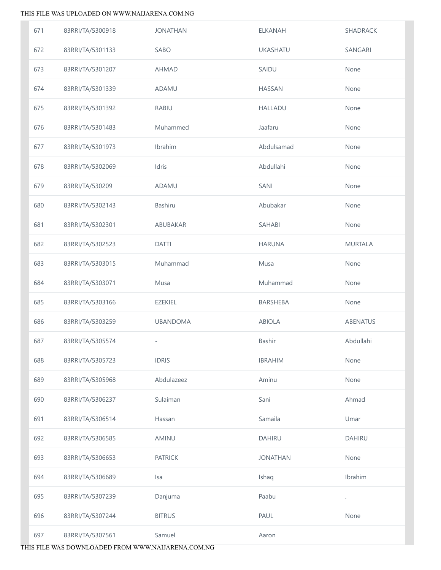| 671 | 83RRI/TA/5300918 | <b>JONATHAN</b> | <b>ELKANAH</b>  | SHADRACK             |
|-----|------------------|-----------------|-----------------|----------------------|
| 672 | 83RRI/TA/5301133 | SABO            | <b>UKASHATU</b> | SANGARI              |
| 673 | 83RRI/TA/5301207 | <b>AHMAD</b>    | SAIDU           | None                 |
| 674 | 83RRI/TA/5301339 | ADAMU           | <b>HASSAN</b>   | None                 |
| 675 | 83RRI/TA/5301392 | RABIU           | <b>HALLADU</b>  | None                 |
| 676 | 83RRI/TA/5301483 | Muhammed        | Jaafaru         | None                 |
| 677 | 83RRI/TA/5301973 | Ibrahim         | Abdulsamad      | None                 |
| 678 | 83RRI/TA/5302069 | Idris           | Abdullahi       | None                 |
| 679 | 83RRI/TA/530209  | ADAMU           | SANI            | None                 |
| 680 | 83RRI/TA/5302143 | <b>Bashiru</b>  | Abubakar        | None                 |
| 681 | 83RRI/TA/5302301 | ABUBAKAR        | SAHABI          | None                 |
| 682 | 83RRI/TA/5302523 | <b>DATTI</b>    | <b>HARUNA</b>   | <b>MURTALA</b>       |
| 683 | 83RRI/TA/5303015 | Muhammad        | Musa            | None                 |
| 684 | 83RRI/TA/5303071 | Musa            | Muhammad        | None                 |
| 685 | 83RRI/TA/5303166 | EZEKIEL         | BARSHEBA        | None                 |
| 686 | 83RRI/TA/5303259 | <b>UBANDOMA</b> | ABIOLA          | ABENATUS             |
| 687 | 83RRI/TA/5305574 |                 | Bashir          | Abdullahi            |
| 688 | 83RRI/TA/5305723 | <b>IDRIS</b>    | <b>IBRAHIM</b>  | None                 |
| 689 | 83RRI/TA/5305968 | Abdulazeez      | Aminu           | None                 |
| 690 | 83RRI/TA/5306237 | Sulaiman        | Sani            | Ahmad                |
| 691 | 83RRI/TA/5306514 | Hassan          | Samaila         | Umar                 |
| 692 | 83RRI/TA/5306585 | AMINU           | <b>DAHIRU</b>   | <b>DAHIRU</b>        |
| 693 | 83RRI/TA/5306653 | <b>PATRICK</b>  | <b>JONATHAN</b> | None                 |
| 694 | 83RRI/TA/5306689 | <b>Isa</b>      | Ishaq           | Ibrahim              |
| 695 | 83RRI/TA/5307239 | Danjuma         | Paabu           | $\ddot{\phantom{0}}$ |
| 696 | 83RRI/TA/5307244 | <b>BITRUS</b>   | PAUL            | None                 |
| 697 | 83RRI/TA/5307561 | Samuel          | Aaron           |                      |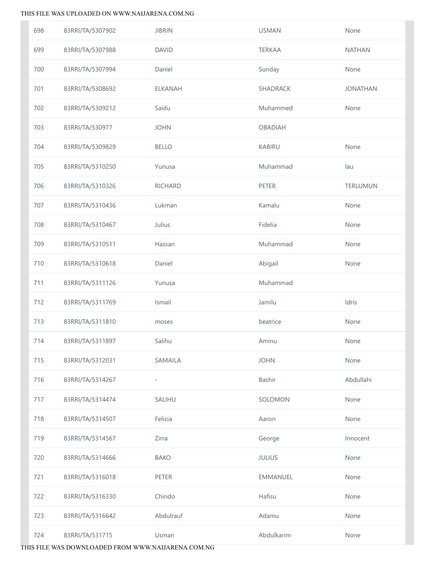| 698 | 83RRI/TA/5307902 | <b>JIBRIN</b>            | <b>USMAN</b>    | None            |
|-----|------------------|--------------------------|-----------------|-----------------|
| 699 | 83RRI/TA/5307988 | <b>DAVID</b>             | <b>TERKAA</b>   | <b>NATHAN</b>   |
| 700 | 83RRI/TA/5307994 | Daniel                   | Sunday          | None            |
| 701 | 83RRI/TA/5308692 | <b>ELKANAH</b>           | <b>SHADRACK</b> | <b>JONATHAN</b> |
| 702 | 83RRI/TA/5309212 | Saidu                    | Muhammed        | None            |
| 703 | 83RRI/TA/530977  | <b>JOHN</b>              | <b>OBADIAH</b>  |                 |
| 704 | 83RRI/TA/5309829 | <b>BELLO</b>             | <b>KABIRU</b>   | None            |
| 705 | 83RRI/TA/5310250 | Yunusa                   | Muhammad        | lau             |
| 706 | 83RRI/TA/5310326 | <b>RICHARD</b>           | PETER           | TERLUMUN        |
| 707 | 83RRI/TA/5310436 | Lukman                   | Kamalu          | None            |
| 708 | 83RRI/TA/5310467 | Julius                   | Fidelia         | None            |
| 709 | 83RRI/TA/5310511 | Hassan                   | Muhammad        | None            |
| 710 | 83RRI/TA/5310618 | Daniel                   | Abigail         | None            |
| 711 | 83RRI/TA/5311126 | Yunusa                   | Muhammad        |                 |
| 712 | 83RRI/TA/5311769 | Ismail                   | Jamilu          | Idris           |
| 713 | 83RRI/TA/5311810 | moses                    | beatrice        | None            |
| 714 | 83RRI/TA/5311897 | Salihu                   | Aminu           | None            |
| 715 | 83RRI/TA/5312031 | SAMAILA                  | <b>JOHN</b>     | None            |
| 716 | 83RRI/TA/5314267 | $\overline{\phantom{0}}$ | Bashir          | Abdullahi       |
| 717 | 83RRI/TA/5314474 | SALIHU                   | SOLOMON         | None            |
| 718 | 83RRI/TA/5314507 | Felicia                  | Aaron           | None            |
| 719 | 83RRI/TA/5314567 | Zirra                    | George          | Innocent        |
| 720 | 83RRI/TA/5314666 | <b>BAKO</b>              | JULIUS          | None            |
| 721 | 83RRI/TA/5316018 | <b>PETER</b>             | <b>EMMANUEL</b> | None            |
| 722 | 83RRI/TA/5316330 | Chindo                   | Hafisu          | None            |
| 723 | 83RRI/TA/5316642 | Abdulrauf                | Adamu           | None            |
| 724 | 83RRI/TA/531715  | Usman                    | Abdulkarim      | None            |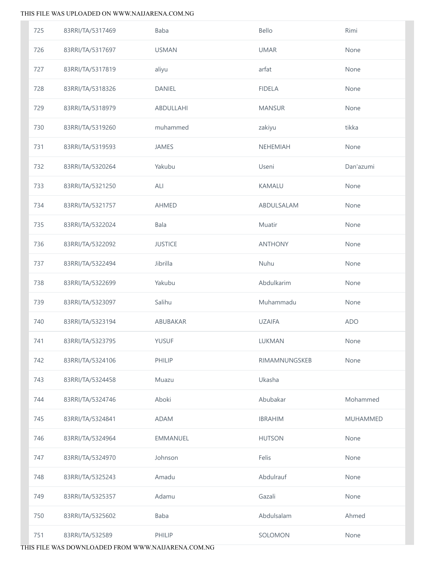| 725 | 83RRI/TA/5317469 | <b>Baba</b>     | Bello          | Rimi            |
|-----|------------------|-----------------|----------------|-----------------|
| 726 | 83RRI/TA/5317697 | <b>USMAN</b>    | <b>UMAR</b>    | None            |
| 727 | 83RRI/TA/5317819 | aliyu           | arfat          | None            |
| 728 | 83RRI/TA/5318326 | <b>DANIEL</b>   | <b>FIDELA</b>  | None            |
| 729 | 83RRI/TA/5318979 | ABDULLAHI       | <b>MANSUR</b>  | None            |
| 730 | 83RRI/TA/5319260 | muhammed        | zakiyu         | tikka           |
| 731 | 83RRI/TA/5319593 | JAMES           | NEHEMIAH       | None            |
| 732 | 83RRI/TA/5320264 | Yakubu          | Useni          | Dan'azumi       |
| 733 | 83RRI/TA/5321250 | ALI             | KAMALU         | None            |
| 734 | 83RRI/TA/5321757 | AHMED           | ABDULSALAM     | None            |
| 735 | 83RRI/TA/5322024 | Bala            | Muatir         | None            |
| 736 | 83RRI/TA/5322092 | <b>JUSTICE</b>  | <b>ANTHONY</b> | None            |
| 737 | 83RRI/TA/5322494 | Jibrilla        | Nuhu           | None            |
| 738 | 83RRI/TA/5322699 | Yakubu          | Abdulkarim     | None            |
| 739 | 83RRI/TA/5323097 | Salihu          | Muhammadu      | None            |
| 740 | 83RRI/TA/5323194 | ABUBAKAR        | <b>UZAIFA</b>  | <b>ADO</b>      |
| 741 | 83RRI/TA/5323795 | <b>YUSUF</b>    | LUKMAN         | None            |
| 742 | 83RRI/TA/5324106 | PHILIP          | RIMAMNUNGSKEB  | None            |
| 743 | 83RRI/TA/5324458 | Muazu           | Ukasha         |                 |
| 744 | 83RRI/TA/5324746 | Aboki           | Abubakar       | Mohammed        |
| 745 | 83RRI/TA/5324841 | <b>ADAM</b>     | <b>IBRAHIM</b> | <b>MUHAMMED</b> |
| 746 | 83RRI/TA/5324964 | <b>EMMANUEL</b> | <b>HUTSON</b>  | None            |
| 747 | 83RRI/TA/5324970 | Johnson         | Felis          | None            |
| 748 | 83RRI/TA/5325243 | Amadu           | Abdulrauf      | None            |
| 749 | 83RRI/TA/5325357 | Adamu           | Gazali         | None            |
| 750 | 83RRI/TA/5325602 | Baba            | Abdulsalam     | Ahmed           |
| 751 | 83RRI/TA/532589  | PHILIP          | SOLOMON        | None            |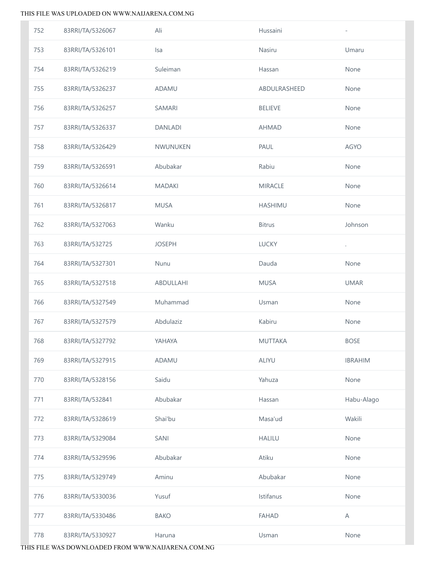| 752 | 83RRI/TA/5326067 | Ali            | Hussaini       |                      |
|-----|------------------|----------------|----------------|----------------------|
| 753 | 83RRI/TA/5326101 | Isa            | Nasiru         | Umaru                |
| 754 | 83RRI/TA/5326219 | Suleiman       | Hassan         | None                 |
| 755 | 83RRI/TA/5326237 | ADAMU          | ABDULRASHEED   | None                 |
| 756 | 83RRI/TA/5326257 | SAMARI         | <b>BELIEVE</b> | None                 |
| 757 | 83RRI/TA/5326337 | <b>DANLADI</b> | <b>AHMAD</b>   | None                 |
| 758 | 83RRI/TA/5326429 | NWUNUKEN       | PAUL           | <b>AGYO</b>          |
| 759 | 83RRI/TA/5326591 | Abubakar       | Rabiu          | None                 |
| 760 | 83RRI/TA/5326614 | <b>MADAKI</b>  | <b>MIRACLE</b> | None                 |
| 761 | 83RRI/TA/5326817 | <b>MUSA</b>    | <b>HASHIMU</b> | None                 |
| 762 | 83RRI/TA/5327063 | Wanku          | <b>Bitrus</b>  | Johnson              |
| 763 | 83RRI/TA/532725  | <b>JOSEPH</b>  | <b>LUCKY</b>   | $\ddot{\phantom{0}}$ |
| 764 | 83RRI/TA/5327301 | Nunu           | Dauda          | None                 |
| 765 | 83RRI/TA/5327518 | ABDULLAHI      | <b>MUSA</b>    | <b>UMAR</b>          |
| 766 | 83RRI/TA/5327549 | Muhammad       | Usman          | None                 |
| 767 | 83RRI/TA/5327579 | Abdulaziz      | Kabiru         | None                 |
| 768 | 83RRI/TA/5327792 | YAHAYA         | <b>MUTTAKA</b> | <b>BOSE</b>          |
| 769 | 83RRI/TA/5327915 | ADAMU          | ALIYU          | <b>IBRAHIM</b>       |
| 770 | 83RRI/TA/5328156 | Saidu          | Yahuza         | None                 |
| 771 | 83RRI/TA/532841  | Abubakar       | Hassan         | Habu-Alago           |
| 772 | 83RRI/TA/5328619 | Shai'bu        | Masa'ud        | Wakili               |
| 773 | 83RRI/TA/5329084 | SANI           | <b>HALILU</b>  | None                 |
| 774 | 83RRI/TA/5329596 | Abubakar       | Atiku          | None                 |
| 775 | 83RRI/TA/5329749 | Aminu          | Abubakar       | None                 |
| 776 | 83RRI/TA/5330036 | Yusuf          | Istifanus      | None                 |
| 777 | 83RRI/TA/5330486 | <b>BAKO</b>    | <b>FAHAD</b>   | A                    |
| 778 | 83RRI/TA/5330927 | Haruna         | Usman          | None                 |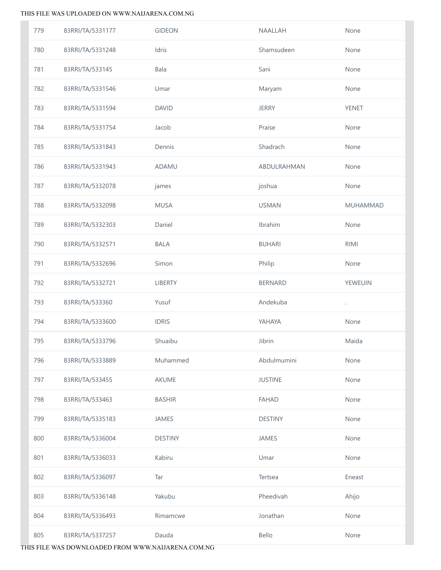| 779 | 83RRI/TA/5331177 | <b>GIDEON</b>  | NAALLAH        | None            |
|-----|------------------|----------------|----------------|-----------------|
| 780 | 83RRI/TA/5331248 | Idris          | Shamsudeen     | None            |
| 781 | 83RRI/TA/533145  | Bala           | Sani           | None            |
| 782 | 83RRI/TA/5331546 | Umar           | Maryam         | None            |
| 783 | 83RRI/TA/5331594 | <b>DAVID</b>   | <b>JERRY</b>   | YENET           |
| 784 | 83RRI/TA/5331754 | Jacob          | Praise         | None            |
| 785 | 83RRI/TA/5331843 | Dennis         | Shadrach       | None            |
| 786 | 83RRI/TA/5331943 | ADAMU          | ABDULRAHMAN    | None            |
| 787 | 83RRI/TA/5332078 | james          | joshua         | None            |
| 788 | 83RRI/TA/5332098 | <b>MUSA</b>    | <b>USMAN</b>   | <b>MUHAMMAD</b> |
| 789 | 83RRI/TA/5332303 | Daniel         | Ibrahim        | None            |
| 790 | 83RRI/TA/5332571 | <b>BALA</b>    | <b>BUHARI</b>  | <b>RIMI</b>     |
| 791 | 83RRI/TA/5332696 | Simon          | Philip         | None            |
| 792 | 83RRI/TA/5332721 | LIBERTY        | <b>BERNARD</b> | YEWEUIN         |
| 793 | 83RRI/TA/533360  | Yusuf          | Andekuba       | l.              |
| 794 | 83RRI/TA/5333600 | <b>IDRIS</b>   | YAHAYA         | None            |
| 795 | 83RRI/TA/5333796 | Shuaibu        | Jibrin         | Maida           |
| 796 | 83RRI/TA/5333889 | Muhammed       | Abdulmumini    | None            |
| 797 | 83RRI/TA/533455  | AKUME          | <b>JUSTINE</b> | None            |
| 798 | 83RRI/TA/533463  | <b>BASHIR</b>  | <b>FAHAD</b>   | None            |
| 799 | 83RRI/TA/5335183 | <b>JAMES</b>   | <b>DESTINY</b> | None            |
| 800 | 83RRI/TA/5336004 | <b>DESTINY</b> | <b>JAMES</b>   | None            |
| 801 | 83RRI/TA/5336033 | Kabiru         | Umar           | None            |
| 802 | 83RRI/TA/5336097 | Tar            | Tertsea        | Eneast          |
| 803 | 83RRI/TA/5336148 | Yakubu         | Pheedivah      | Ahijo           |
| 804 | 83RRI/TA/5336493 | Rimamcwe       | Jonathan       | None            |
| 805 | 83RRI/TA/5337257 | Dauda          | Bello          | None            |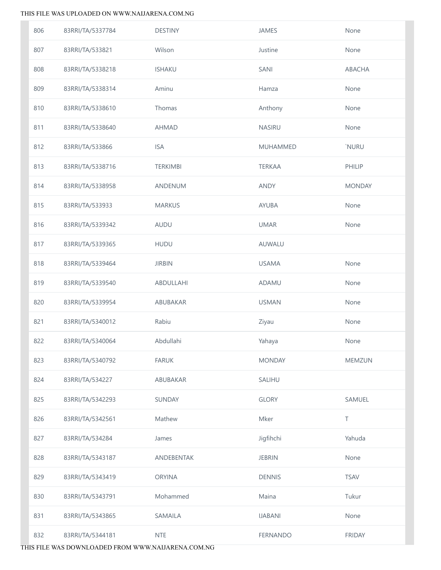| 806 | 83RRI/TA/5337784 | <b>DESTINY</b>  | JAMES           | None          |
|-----|------------------|-----------------|-----------------|---------------|
| 807 | 83RRI/TA/533821  | Wilson          | Justine         | None          |
| 808 | 83RRI/TA/5338218 | <b>ISHAKU</b>   | SANI            | ABACHA        |
| 809 | 83RRI/TA/5338314 | Aminu           | Hamza           | None          |
| 810 | 83RRI/TA/5338610 | Thomas          | Anthony         | None          |
| 811 | 83RRI/TA/5338640 | <b>AHMAD</b>    | <b>NASIRU</b>   | None          |
| 812 | 83RRI/TA/533866  | <b>ISA</b>      | <b>MUHAMMED</b> | `NURU         |
| 813 | 83RRI/TA/5338716 | <b>TERKIMBI</b> | <b>TERKAA</b>   | PHILIP        |
| 814 | 83RRI/TA/5338958 | ANDENUM         | <b>ANDY</b>     | <b>MONDAY</b> |
| 815 | 83RRI/TA/533933  | <b>MARKUS</b>   | AYUBA           | None          |
| 816 | 83RRI/TA/5339342 | AUDU            | <b>UMAR</b>     | None          |
| 817 | 83RRI/TA/5339365 | <b>HUDU</b>     | AUWALU          |               |
| 818 | 83RRI/TA/5339464 | <b>JIRBIN</b>   | <b>USAMA</b>    | None          |
| 819 | 83RRI/TA/5339540 | ABDULLAHI       | ADAMU           | None          |
| 820 | 83RRI/TA/5339954 | ABUBAKAR        | <b>USMAN</b>    | None          |
| 821 | 83RRI/TA/5340012 | Rabiu           | Ziyau           | None          |
| 822 | 83RRI/TA/5340064 | Abdullahi       | Yahaya          | None          |
| 823 | 83RRI/TA/5340792 | <b>FARUK</b>    | <b>MONDAY</b>   | <b>MEMZUN</b> |
| 824 | 83RRI/TA/534227  | ABUBAKAR        | <b>SALIHU</b>   |               |
| 825 | 83RRI/TA/5342293 | SUNDAY          | <b>GLORY</b>    | SAMUEL        |
| 826 | 83RRI/TA/5342561 | Mathew          | Mker            | T             |
| 827 | 83RRI/TA/534284  | James           | Jigfihchi       | Yahuda        |
| 828 | 83RRI/TA/5343187 | ANDEBENTAK      | <b>JEBRIN</b>   | None          |
| 829 | 83RRI/TA/5343419 | <b>ORYINA</b>   | <b>DENNIS</b>   | <b>TSAV</b>   |
| 830 | 83RRI/TA/5343791 | Mohammed        | Maina           | Tukur         |
| 831 | 83RRI/TA/5343865 | SAMAILA         | <b>IJABANI</b>  | None          |
| 832 | 83RRI/TA/5344181 | <b>NTE</b>      | <b>FERNANDO</b> | <b>FRIDAY</b> |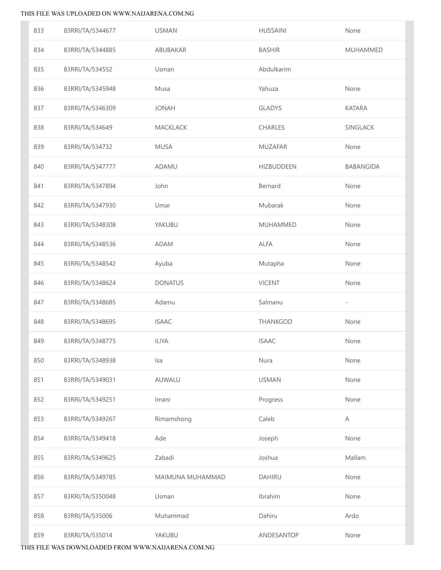| 833 | 83RRI/TA/5344677 | <b>USMAN</b>     | <b>HUSSAINI</b>   | None                     |
|-----|------------------|------------------|-------------------|--------------------------|
| 834 | 83RRI/TA/5344885 | ABUBAKAR         | <b>BASHIR</b>     | MUHAMMED                 |
| 835 | 83RRI/TA/534552  | Usman            | Abdulkarim        |                          |
| 836 | 83RRI/TA/5345948 | Musa             | Yahuza            | None                     |
| 837 | 83RRI/TA/5346309 | <b>JONAH</b>     | <b>GLADYS</b>     | <b>KATARA</b>            |
| 838 | 83RRI/TA/534649  | <b>MACKLACK</b>  | CHARLES           | SINGLACK                 |
| 839 | 83RRI/TA/534732  | <b>MUSA</b>      | <b>MUZAFAR</b>    | None                     |
| 840 | 83RRI/TA/5347777 | ADAMU            | <b>HIZBUDDEEN</b> | BABANGIDA                |
| 841 | 83RRI/TA/5347894 | John             | Bernard           | None                     |
| 842 | 83RRI/TA/5347930 | Umar             | Mubarak           | None                     |
| 843 | 83RRI/TA/5348308 | YAKUBU           | <b>MUHAMMED</b>   | None                     |
| 844 | 83RRI/TA/5348536 | <b>ADAM</b>      | <b>ALFA</b>       | None                     |
| 845 | 83RRI/TA/5348542 | Ayuba            | Mutapha           | None                     |
| 846 | 83RRI/TA/5348624 | <b>DONATUS</b>   | <b>VICENT</b>     | None                     |
| 847 | 83RRI/TA/5348685 | Adamu            | Salmanu           | $\overline{\phantom{a}}$ |
| 848 | 83RRI/TA/5348695 | <b>ISAAC</b>     | <b>THANKGOD</b>   | None                     |
| 849 | 83RRI/TA/5348775 | <b>ILIYA</b>     | <b>ISAAC</b>      | None                     |
| 850 | 83RRI/TA/5348938 | Isa              | Nura              | None                     |
| 851 | 83RRI/TA/5349031 | AUWALU           | <b>USMAN</b>      | None                     |
| 852 | 83RRI/TA/5349251 | Imani            | Progress          | None                     |
| 853 | 83RRI/TA/5349267 | Rimamshong       | Caleb             | A                        |
| 854 | 83RRI/TA/5349418 | Ade              | Joseph            | None                     |
| 855 | 83RRI/TA/5349625 | Zabadi           | Joshua            | Mallam                   |
| 856 | 83RRI/TA/5349785 | MAIMUNA MUHAMMAD | <b>DAHIRU</b>     | None                     |
| 857 | 83RRI/TA/5350048 | Usman            | Ibrahim           | None                     |
| 858 | 83RRI/TA/535006  | Muhammad         | Dahiru            | Ardo                     |
| 859 | 83RRI/TA/535014  | YAKUBU           | ANDESANTOP        | None                     |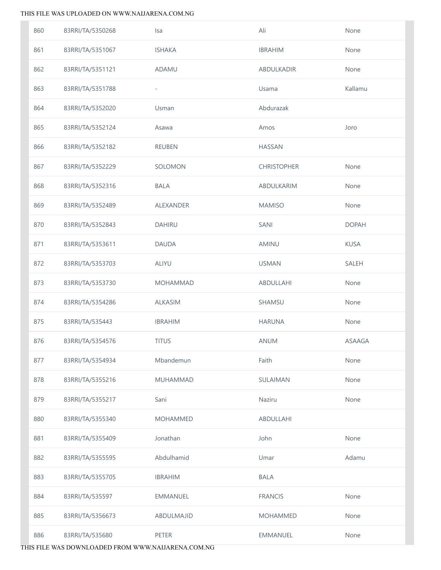| 860 | 83RRI/TA/5350268 | Isa               | Ali                | None          |
|-----|------------------|-------------------|--------------------|---------------|
| 861 | 83RRI/TA/5351067 | <b>ISHAKA</b>     | <b>IBRAHIM</b>     | None          |
| 862 | 83RRI/TA/5351121 | ADAMU             | ABDULKADIR         | None          |
| 863 | 83RRI/TA/5351788 | $\overline{a}$    | Usama              | Kallamu       |
| 864 | 83RRI/TA/5352020 | Usman             | Abdurazak          |               |
| 865 | 83RRI/TA/5352124 | Asawa             | Amos               | Joro          |
| 866 | 83RRI/TA/5352182 | <b>REUBEN</b>     | <b>HASSAN</b>      |               |
| 867 | 83RRI/TA/5352229 | SOLOMON           | <b>CHRISTOPHER</b> | None          |
| 868 | 83RRI/TA/5352316 | <b>BALA</b>       | ABDULKARIM         | None          |
| 869 | 83RRI/TA/5352489 | ALEXANDER         | <b>MAMISO</b>      | None          |
| 870 | 83RRI/TA/5352843 | <b>DAHIRU</b>     | SANI               | <b>DOPAH</b>  |
| 871 | 83RRI/TA/5353611 | <b>DAUDA</b>      | <b>AMINU</b>       | <b>KUSA</b>   |
| 872 | 83RRI/TA/5353703 | <b>ALIYU</b>      | <b>USMAN</b>       | SALEH         |
| 873 | 83RRI/TA/5353730 | <b>MOHAMMAD</b>   | ABDULLAHI          | None          |
| 874 | 83RRI/TA/5354286 | <b>ALKASIM</b>    | SHAMSU             | None          |
| 875 | 83RRI/TA/535443  | <b>IBRAHIM</b>    | <b>HARUNA</b>      | None          |
| 876 | 83RRI/TA/5354576 | <b>TITUS</b>      | ANUM               | <b>ASAAGA</b> |
| 877 | 83RRI/TA/5354934 | Mbandemun         | Faith              | None          |
| 878 | 83RRI/TA/5355216 | <b>MUHAMMAD</b>   | SULAIMAN           | None          |
| 879 | 83RRI/TA/5355217 | Sani              | Naziru             | None          |
| 880 | 83RRI/TA/5355340 | <b>MOHAMMED</b>   | <b>ABDULLAHI</b>   |               |
| 881 | 83RRI/TA/5355409 | Jonathan          | John               | None          |
| 882 | 83RRI/TA/5355595 | Abdulhamid        | Umar               | Adamu         |
| 883 | 83RRI/TA/5355705 | <b>IBRAHIM</b>    | <b>BALA</b>        |               |
| 884 | 83RRI/TA/535597  | <b>EMMANUEL</b>   | <b>FRANCIS</b>     | None          |
| 885 | 83RRI/TA/5356673 | <b>ABDULMAJID</b> | <b>MOHAMMED</b>    | None          |
| 886 | 83RRI/TA/535680  | PETER             | EMMANUEL           | None          |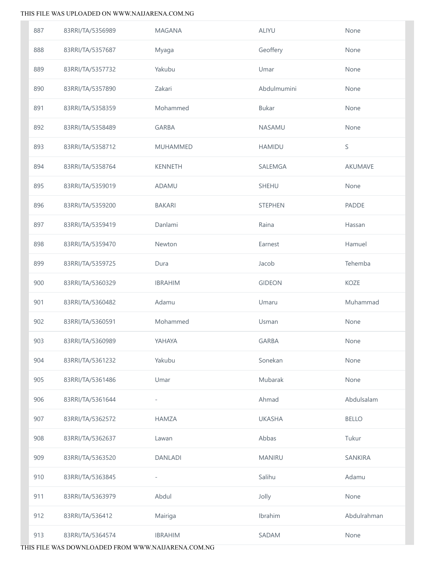| 887 | 83RRI/TA/5356989 | <b>MAGANA</b>   | <b>ALIYU</b>   | None           |
|-----|------------------|-----------------|----------------|----------------|
| 888 | 83RRI/TA/5357687 | Myaga           | Geoffery       | None           |
| 889 | 83RRI/TA/5357732 | Yakubu          | Umar           | None           |
| 890 | 83RRI/TA/5357890 | Zakari          | Abdulmumini    | None           |
| 891 | 83RRI/TA/5358359 | Mohammed        | <b>Bukar</b>   | None           |
| 892 | 83RRI/TA/5358489 | <b>GARBA</b>    | <b>NASAMU</b>  | None           |
| 893 | 83RRI/TA/5358712 | <b>MUHAMMED</b> | <b>HAMIDU</b>  | S              |
| 894 | 83RRI/TA/5358764 | <b>KENNETH</b>  | SALEMGA        | <b>AKUMAVE</b> |
| 895 | 83RRI/TA/5359019 | ADAMU           | SHEHU          | None           |
| 896 | 83RRI/TA/5359200 | <b>BAKARI</b>   | <b>STEPHEN</b> | <b>PADDE</b>   |
| 897 | 83RRI/TA/5359419 | Danlami         | Raina          | Hassan         |
| 898 | 83RRI/TA/5359470 | Newton          | Earnest        | Hamuel         |
| 899 | 83RRI/TA/5359725 | Dura            | Jacob          | Tehemba        |
| 900 | 83RRI/TA/5360329 | <b>IBRAHIM</b>  | <b>GIDEON</b>  | KOZE           |
| 901 | 83RRI/TA/5360482 | Adamu           | Umaru          | Muhammad       |
| 902 | 83RRI/TA/5360591 | Mohammed        | Usman          | None           |
| 903 | 83RRI/TA/5360989 | YAHAYA          | <b>GARBA</b>   | None           |
| 904 | 83RRI/TA/5361232 | Yakubu          | Sonekan        | None           |
| 905 | 83RRI/TA/5361486 | Umar            | Mubarak        | None           |
| 906 | 83RRI/TA/5361644 | $\overline{a}$  | Ahmad          | Abdulsalam     |
| 907 | 83RRI/TA/5362572 | <b>HAMZA</b>    | <b>UKASHA</b>  | <b>BELLO</b>   |
| 908 | 83RRI/TA/5362637 | Lawan           | Abbas          | Tukur          |
| 909 | 83RRI/TA/5363520 | <b>DANLADI</b>  | <b>MANIRU</b>  | SANKIRA        |
| 910 | 83RRI/TA/5363845 | $\overline{a}$  | Salihu         | Adamu          |
| 911 | 83RRI/TA/5363979 | Abdul           | Jolly          | None           |
| 912 | 83RRI/TA/536412  | Mairiga         | Ibrahim        | Abdulrahman    |
| 913 | 83RRI/TA/5364574 | <b>IBRAHIM</b>  | SADAM          | None           |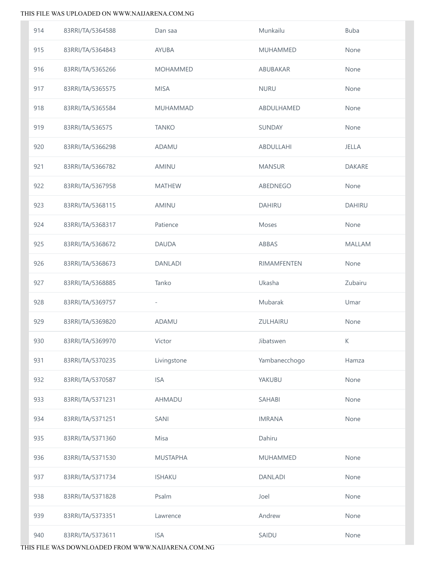| 914 | 83RRI/TA/5364588 | Dan saa         | Munkailu           | <b>Buba</b>   |
|-----|------------------|-----------------|--------------------|---------------|
| 915 | 83RRI/TA/5364843 | AYUBA           | MUHAMMED           | None          |
| 916 | 83RRI/TA/5365266 | <b>MOHAMMED</b> | ABUBAKAR           | None          |
| 917 | 83RRI/TA/5365575 | <b>MISA</b>     | <b>NURU</b>        | None          |
| 918 | 83RRI/TA/5365584 | MUHAMMAD        | ABDULHAMED         | None          |
| 919 | 83RRI/TA/536575  | <b>TANKO</b>    | SUNDAY             | None          |
| 920 | 83RRI/TA/5366298 | ADAMU           | ABDULLAHI          | JELLA         |
| 921 | 83RRI/TA/5366782 | AMINU           | <b>MANSUR</b>      | <b>DAKARE</b> |
| 922 | 83RRI/TA/5367958 | <b>MATHEW</b>   | ABEDNEGO           | None          |
| 923 | 83RRI/TA/5368115 | <b>AMINU</b>    | <b>DAHIRU</b>      | <b>DAHIRU</b> |
| 924 | 83RRI/TA/5368317 | Patience        | Moses              | None          |
| 925 | 83RRI/TA/5368672 | DAUDA           | ABBAS              | <b>MALLAM</b> |
| 926 | 83RRI/TA/5368673 | <b>DANLADI</b>  | <b>RIMAMFENTEN</b> | None          |
| 927 | 83RRI/TA/5368885 | Tanko           | Ukasha             | Zubairu       |
| 928 | 83RRI/TA/5369757 | $\overline{a}$  | Mubarak            | Umar          |
| 929 | 83RRI/TA/5369820 | ADAMU           | ZULHAIRU           | None          |
| 930 | 83RRI/TA/5369970 | Victor          | Jibatswen          | К             |
| 931 | 83RRI/TA/5370235 | Livingstone     | Yambanecchogo      | Hamza         |
| 932 | 83RRI/TA/5370587 | <b>ISA</b>      | YAKUBU             | None          |
| 933 | 83RRI/TA/5371231 | AHMADU          | <b>SAHABI</b>      | None          |
| 934 | 83RRI/TA/5371251 | SANI            | <b>IMRANA</b>      | None          |
| 935 | 83RRI/TA/5371360 | Misa            | Dahiru             |               |
| 936 | 83RRI/TA/5371530 | <b>MUSTAPHA</b> | <b>MUHAMMED</b>    | None          |
| 937 | 83RRI/TA/5371734 | <b>ISHAKU</b>   | <b>DANLADI</b>     | None          |
| 938 | 83RRI/TA/5371828 | Psalm           | Joel               | None          |
| 939 | 83RRI/TA/5373351 | Lawrence        | Andrew             | None          |
| 940 | 83RRI/TA/5373611 | <b>ISA</b>      | SAIDU              | None          |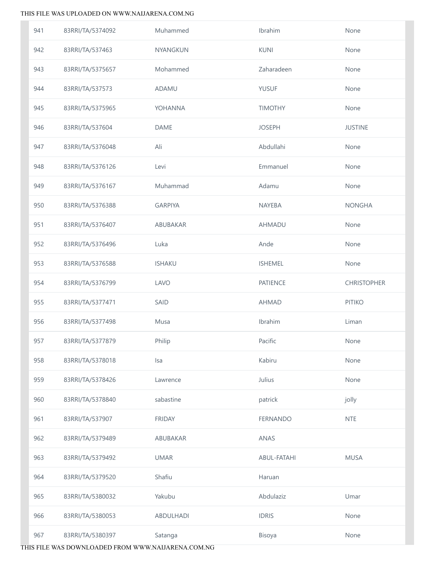| 941 | 83RRI/TA/5374092 | Muhammed         | Ibrahim         | None               |
|-----|------------------|------------------|-----------------|--------------------|
| 942 | 83RRI/TA/537463  | NYANGKUN         | <b>KUNI</b>     | None               |
| 943 | 83RRI/TA/5375657 | Mohammed         | Zaharadeen      | None               |
| 944 | 83RRI/TA/537573  | ADAMU            | <b>YUSUF</b>    | None               |
| 945 | 83RRI/TA/5375965 | YOHANNA          | <b>TIMOTHY</b>  | None               |
| 946 | 83RRI/TA/537604  | DAME             | <b>JOSEPH</b>   | <b>JUSTINE</b>     |
| 947 | 83RRI/TA/5376048 | Ali              | Abdullahi       | None               |
| 948 | 83RRI/TA/5376126 | Levi             | Emmanuel        | None               |
| 949 | 83RRI/TA/5376167 | Muhammad         | Adamu           | None               |
| 950 | 83RRI/TA/5376388 | <b>GARPIYA</b>   | <b>NAYEBA</b>   | <b>NONGHA</b>      |
| 951 | 83RRI/TA/5376407 | ABUBAKAR         | AHMADU          | None               |
| 952 | 83RRI/TA/5376496 | Luka             | Ande            | None               |
| 953 | 83RRI/TA/5376588 | <b>ISHAKU</b>    | <b>ISHEMEL</b>  | None               |
| 954 | 83RRI/TA/5376799 | LAVO             | <b>PATIENCE</b> | <b>CHRISTOPHER</b> |
| 955 | 83RRI/TA/5377471 | SAID             | <b>AHMAD</b>    | <b>PITIKO</b>      |
| 956 | 83RRI/TA/5377498 | Musa             | Ibrahim         | Liman              |
| 957 | 83RRI/TA/5377879 | Philip           | Pacific         | None               |
| 958 | 83RRI/TA/5378018 | Isa              | Kabiru          | None               |
| 959 | 83RRI/TA/5378426 | Lawrence         | Julius          | None               |
| 960 | 83RRI/TA/5378840 | sabastine        | patrick         | jolly              |
| 961 | 83RRI/TA/537907  | <b>FRIDAY</b>    | <b>FERNANDO</b> | <b>NTE</b>         |
| 962 | 83RRI/TA/5379489 | <b>ABUBAKAR</b>  | ANAS            |                    |
| 963 | 83RRI/TA/5379492 | <b>UMAR</b>      | ABUL-FATAHI     | <b>MUSA</b>        |
| 964 | 83RRI/TA/5379520 | Shafiu           | Haruan          |                    |
| 965 | 83RRI/TA/5380032 | Yakubu           | Abdulaziz       | Umar               |
| 966 | 83RRI/TA/5380053 | <b>ABDULHADI</b> | <b>IDRIS</b>    | None               |
| 967 | 83RRI/TA/5380397 | Satanga          | Bisoya          | None               |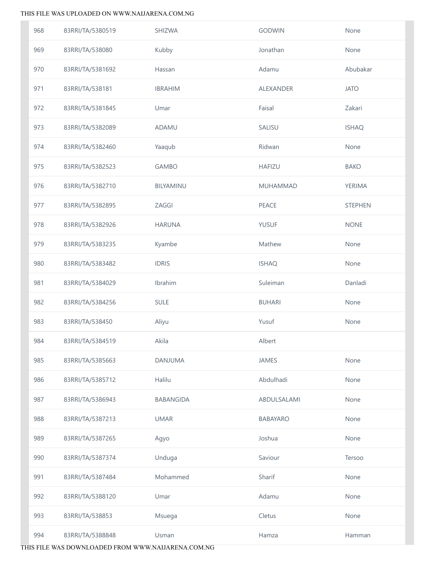| 968 | 83RRI/TA/5380519 | SHIZWA           | <b>GODWIN</b>    | None           |
|-----|------------------|------------------|------------------|----------------|
| 969 | 83RRI/TA/538080  | Kubby            | Jonathan         | None           |
| 970 | 83RRI/TA/5381692 | Hassan           | Adamu            | Abubakar       |
| 971 | 83RRI/TA/538181  | <b>IBRAHIM</b>   | <b>ALEXANDER</b> | <b>JATO</b>    |
| 972 | 83RRI/TA/5381845 | Umar             | Faisal           | Zakari         |
| 973 | 83RRI/TA/5382089 | ADAMU            | SALISU           | <b>ISHAQ</b>   |
| 974 | 83RRI/TA/5382460 | Yaaqub           | Ridwan           | None           |
| 975 | 83RRI/TA/5382523 | <b>GAMBO</b>     | <b>HAFIZU</b>    | <b>BAKO</b>    |
| 976 | 83RRI/TA/5382710 | BILYAMINU        | MUHAMMAD         | <b>YERIMA</b>  |
| 977 | 83RRI/TA/5382895 | ZAGGI            | PEACE            | <b>STEPHEN</b> |
| 978 | 83RRI/TA/5382926 | <b>HARUNA</b>    | <b>YUSUF</b>     | <b>NONE</b>    |
| 979 | 83RRI/TA/5383235 | Kyambe           | Mathew           | None           |
| 980 | 83RRI/TA/5383482 | <b>IDRIS</b>     | <b>ISHAQ</b>     | None           |
| 981 | 83RRI/TA/5384029 | Ibrahim          | Suleiman         | Danladi        |
| 982 | 83RRI/TA/5384256 | SULE             | <b>BUHARI</b>    | None           |
| 983 | 83RRI/TA/538450  | Aliyu            | Yusuf            | None           |
| 984 | 83RRI/TA/5384519 | Akila            | Albert           |                |
| 985 | 83RRI/TA/5385663 | DANJUMA          | <b>JAMES</b>     | None           |
| 986 | 83RRI/TA/5385712 | Halilu           | Abdulhadi        | None           |
| 987 | 83RRI/TA/5386943 | <b>BABANGIDA</b> | ABDULSALAMI      | None           |
| 988 | 83RRI/TA/5387213 | <b>UMAR</b>      | BABAYARO         | None           |
| 989 | 83RRI/TA/5387265 | Agyo             | Joshua           | None           |
| 990 | 83RRI/TA/5387374 | Unduga           | Saviour          | Tersoo         |
| 991 | 83RRI/TA/5387484 | Mohammed         | Sharif           | None           |
| 992 | 83RRI/TA/5388120 | Umar             | Adamu            | None           |
| 993 | 83RRI/TA/538853  | Msuega           | Cletus           | None           |
| 994 | 83RRI/TA/5388848 | Usman            | Hamza            | Hamman         |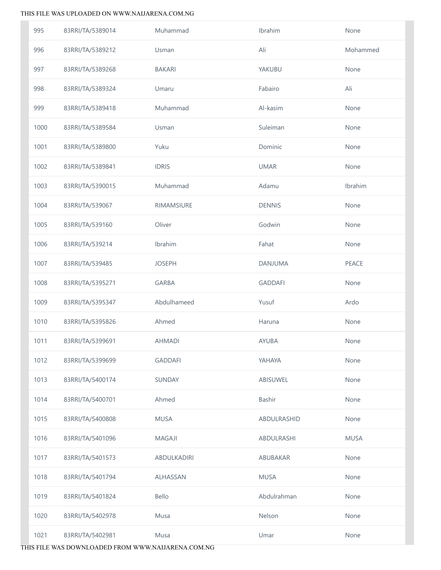| 995  | 83RRI/TA/5389014 | Muhammad       | Ibrahim        | None        |
|------|------------------|----------------|----------------|-------------|
| 996  | 83RRI/TA/5389212 | Usman          | Ali            | Mohammed    |
| 997  | 83RRI/TA/5389268 | <b>BAKARI</b>  | YAKUBU         | None        |
| 998  | 83RRI/TA/5389324 | Umaru          | Fabairo        | Ali         |
| 999  | 83RRI/TA/5389418 | Muhammad       | Al-kasim       | None        |
| 1000 | 83RRI/TA/5389584 | Usman          | Suleiman       | None        |
| 1001 | 83RRI/TA/5389800 | Yuku           | Dominic        | None        |
| 1002 | 83RRI/TA/5389841 | <b>IDRIS</b>   | <b>UMAR</b>    | None        |
| 1003 | 83RRI/TA/5390015 | Muhammad       | Adamu          | Ibrahim     |
| 1004 | 83RRI/TA/539067  | RIMAMSIURE     | <b>DENNIS</b>  | None        |
| 1005 | 83RRI/TA/539160  | Oliver         | Godwin         | None        |
| 1006 | 83RRI/TA/539214  | Ibrahim        | Fahat          | None        |
| 1007 | 83RRI/TA/539485  | <b>JOSEPH</b>  | DANJUMA        | PEACE       |
| 1008 | 83RRI/TA/5395271 | <b>GARBA</b>   | <b>GADDAFI</b> | None        |
| 1009 | 83RRI/TA/5395347 | Abdulhameed    | Yusuf          | Ardo        |
| 1010 | 83RRI/TA/5395826 | Ahmed          | Haruna         | None        |
| 1011 | 83RRI/TA/5399691 | <b>AHMADI</b>  | <b>AYUBA</b>   | None        |
| 1012 | 83RRI/TA/5399699 | <b>GADDAFI</b> | YAHAYA         | None        |
| 1013 | 83RRI/TA/5400174 | <b>SUNDAY</b>  | ABISUWEL       | None        |
| 1014 | 83RRI/TA/5400701 | Ahmed          | <b>Bashir</b>  | None        |
| 1015 | 83RRI/TA/5400808 | <b>MUSA</b>    | ABDULRASHID    | None        |
| 1016 | 83RRI/TA/5401096 | MAGAJI         | ABDULRASHI     | <b>MUSA</b> |
| 1017 | 83RRI/TA/5401573 | ABDULKADIRI    | ABUBAKAR       | None        |
| 1018 | 83RRI/TA/5401794 | ALHASSAN       | <b>MUSA</b>    | None        |
| 1019 | 83RRI/TA/5401824 | <b>Bello</b>   | Abdulrahman    | None        |
| 1020 | 83RRI/TA/5402978 | Musa           | Nelson         | None        |
| 1021 | 83RRI/TA/5402981 | Musa           | Umar           | None        |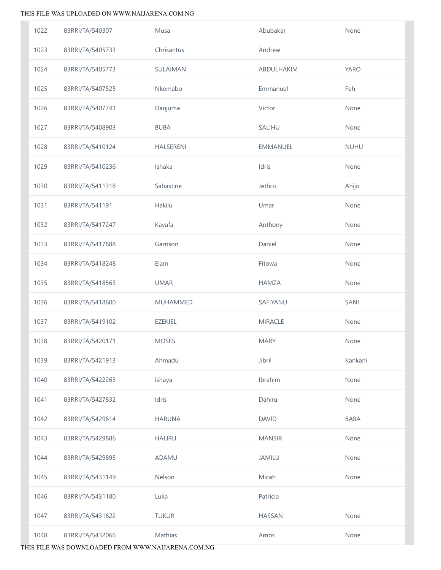| 1022 | 83RRI/TA/540307  | Musa            | Abubakar        | None        |
|------|------------------|-----------------|-----------------|-------------|
| 1023 | 83RRI/TA/5405733 | Chrisantus      | Andrew          |             |
| 1024 | 83RRI/TA/5405773 | SULAIMAN        | ABDULHAKIM      | <b>YARO</b> |
| 1025 | 83RRI/TA/5407525 | Nkemabo         | Emmanuel        | Feh         |
| 1026 | 83RRI/TA/5407741 | Danjuma         | Victor          | None        |
| 1027 | 83RRI/TA/5408903 | <b>BUBA</b>     | SALIHU          | None        |
| 1028 | 83RRI/TA/5410124 | HALSERENI       | <b>EMMANUEL</b> | <b>NUHU</b> |
| 1029 | 83RRI/TA/5410236 | Ishaka          | Idris           | None        |
| 1030 | 83RRI/TA/5411318 | Sabastine       | Jethro          | Ahijo       |
| 1031 | 83RRI/TA/541191  | Hakilu          | Umar            | None        |
| 1032 | 83RRI/TA/5417247 | Kayafa          | Anthony         | None        |
| 1033 | 83RRI/TA/5417888 | Garrison        | Daniel          | None        |
| 1034 | 83RRI/TA/5418248 | Elam            | Fitowa          | None        |
| 1035 | 83RRI/TA/5418563 | <b>UMAR</b>     | <b>HAMZA</b>    | None        |
| 1036 | 83RRI/TA/5418600 | <b>MUHAMMED</b> | SAFIYANU        | SANI        |
| 1037 | 83RRI/TA/5419102 | <b>EZEKIEL</b>  | <b>MIRACLE</b>  | None        |
| 1038 | 83RRI/TA/5420171 | <b>MOSES</b>    | <b>MARY</b>     | None        |
| 1039 | 83RRI/TA/5421913 | Ahmadu          | Jibril          | Kankani     |
| 1040 | 83RRI/TA/5422263 | ishaya          | Ibrahim         | None        |
| 1041 | 83RRI/TA/5427832 | Idris           | Dahiru          | None        |
| 1042 | 83RRI/TA/5429614 | <b>HARUNA</b>   | <b>DAVID</b>    | <b>BABA</b> |
| 1043 | 83RRI/TA/5429886 | <b>HALIRU</b>   | <b>MANSIR</b>   | None        |
| 1044 | 83RRI/TA/5429895 | ADAMU           | <b>JAMILU</b>   | None        |
| 1045 | 83RRI/TA/5431149 | Nelson          | Micah           | None        |
| 1046 | 83RRI/TA/5431180 | Luka            | Patricia        |             |
| 1047 | 83RRI/TA/5431622 | <b>TUKUR</b>    | <b>HASSAN</b>   | None        |
| 1048 | 83RRI/TA/5432066 | Mathias         | Amos            | None        |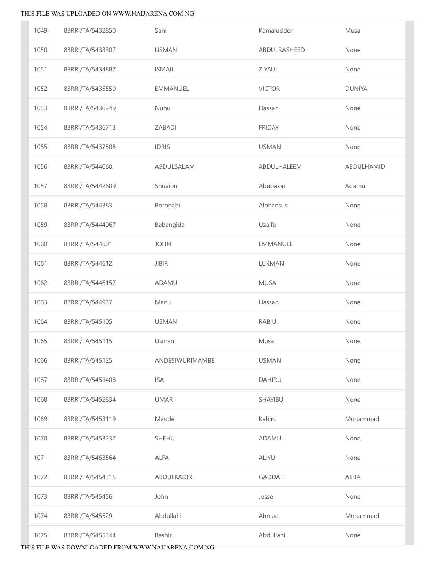| 1049 | 83RRI/TA/5432850 | Sani            | Kamaludden     | Musa          |
|------|------------------|-----------------|----------------|---------------|
| 1050 | 83RRI/TA/5433307 | <b>USMAN</b>    | ABDULRASHEED   | None          |
| 1051 | 83RRI/TA/5434887 | <b>ISMAIL</b>   | ZIYAUL         | None          |
| 1052 | 83RRI/TA/5435550 | EMMANUEL        | <b>VICTOR</b>  | <b>DUNIYA</b> |
| 1053 | 83RRI/TA/5436249 | Nuhu            | Hassan         | None          |
| 1054 | 83RRI/TA/5436713 | ZABADI          | <b>FRIDAY</b>  | None          |
| 1055 | 83RRI/TA/5437508 | <b>IDRIS</b>    | <b>USMAN</b>   | None          |
| 1056 | 83RRI/TA/544060  | ABDULSALAM      | ABDULHALEEM    | ABDULHAMID    |
| 1057 | 83RRI/TA/5442609 | Shuaibu         | Abubakar       | Adamu         |
| 1058 | 83RRI/TA/544383  | Boronabi        | Alphansus      | None          |
| 1059 | 83RRI/TA/5444067 | Babangida       | Uzaifa         | None          |
| 1060 | 83RRI/TA/544501  | <b>JOHN</b>     | EMMANUEL       | None          |
| 1061 | 83RRI/TA/544612  | <b>JIBIR</b>    | LUKMAN         | None          |
| 1062 | 83RRI/TA/5446157 | ADAMU           | <b>MUSA</b>    | None          |
| 1063 | 83RRI/TA/544937  | Manu            | Hassan         | None          |
| 1064 | 83RRI/TA/545105  | <b>USMAN</b>    | <b>RABIU</b>   | None          |
| 1065 | 83RRI/TA/545115  | Usman           | Musa           | None          |
| 1066 | 83RRI/TA/545125  | ANDESIWURIMAMBE | <b>USMAN</b>   | None          |
| 1067 | 83RRI/TA/5451408 | <b>ISA</b>      | <b>DAHIRU</b>  | None          |
| 1068 | 83RRI/TA/5452834 | <b>UMAR</b>     | SHAYIBU        | None          |
| 1069 | 83RRI/TA/5453119 | Maude           | Kabiru         | Muhammad      |
| 1070 | 83RRI/TA/5453237 | <b>SHEHU</b>    | ADAMU          | None          |
| 1071 | 83RRI/TA/5453564 | <b>ALFA</b>     | <b>ALIYU</b>   | None          |
| 1072 | 83RRI/TA/5454315 | ABDULKADIR      | <b>GADDAFI</b> | ABBA          |
| 1073 | 83RRI/TA/545456  | John            | Jesse          | None          |
| 1074 | 83RRI/TA/545529  | Abdullahi       | Ahmad          | Muhammad      |
| 1075 | 83RRI/TA/5455344 | Bashir          | Abdullahi      | None          |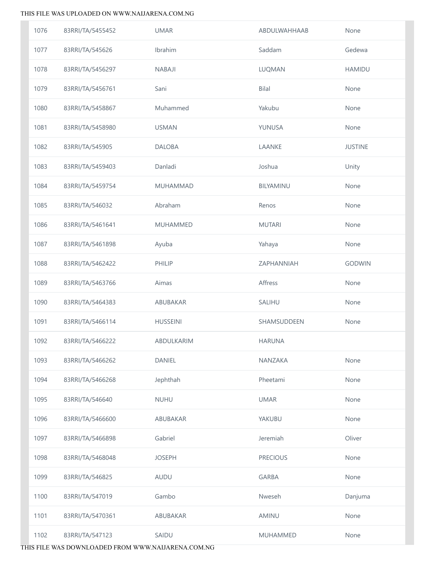| 1076 | 83RRI/TA/5455452 | <b>UMAR</b>       | ABDULWAHHAAB    | None           |
|------|------------------|-------------------|-----------------|----------------|
| 1077 | 83RRI/TA/545626  | Ibrahim           | Saddam          | Gedewa         |
| 1078 | 83RRI/TA/5456297 | <b>NABAJI</b>     | LUQMAN          | <b>HAMIDU</b>  |
| 1079 | 83RRI/TA/5456761 | Sani              | <b>Bilal</b>    | None           |
| 1080 | 83RRI/TA/5458867 | Muhammed          | Yakubu          | None           |
| 1081 | 83RRI/TA/5458980 | <b>USMAN</b>      | YUNUSA          | None           |
| 1082 | 83RRI/TA/545905  | <b>DALOBA</b>     | LAANKE          | <b>JUSTINE</b> |
| 1083 | 83RRI/TA/5459403 | Danladi           | Joshua          | Unity          |
| 1084 | 83RRI/TA/5459754 | <b>MUHAMMAD</b>   | BILYAMINU       | None           |
| 1085 | 83RRI/TA/546032  | Abraham           | Renos           | None           |
| 1086 | 83RRI/TA/5461641 | <b>MUHAMMED</b>   | <b>MUTARI</b>   | None           |
| 1087 | 83RRI/TA/5461898 | Ayuba             | Yahaya          | None           |
| 1088 | 83RRI/TA/5462422 | PHILIP            | ZAPHANNIAH      | GODWIN         |
| 1089 | 83RRI/TA/5463766 | Aimas             | Affress         | None           |
| 1090 | 83RRI/TA/5464383 | ABUBAKAR          | SALIHU          | None           |
| 1091 | 83RRI/TA/5466114 | <b>HUSSEINI</b>   | SHAMSUDDEEN     | None           |
| 1092 | 83RRI/TA/5466222 | <b>ABDULKARIM</b> | <b>HARUNA</b>   |                |
| 1093 | 83RRI/TA/5466262 | <b>DANIEL</b>     | NANZAKA         | None           |
| 1094 | 83RRI/TA/5466268 | Jephthah          | Pheetami        | None           |
| 1095 | 83RRI/TA/546640  | <b>NUHU</b>       | <b>UMAR</b>     | None           |
| 1096 | 83RRI/TA/5466600 | ABUBAKAR          | YAKUBU          | None           |
| 1097 | 83RRI/TA/5466898 | Gabriel           | Jeremiah        | Oliver         |
| 1098 | 83RRI/TA/5468048 | <b>JOSEPH</b>     | <b>PRECIOUS</b> | None           |
| 1099 | 83RRI/TA/546825  | AUDU              | <b>GARBA</b>    | None           |
| 1100 | 83RRI/TA/547019  | Gambo             | Nweseh          | Danjuma        |
| 1101 | 83RRI/TA/5470361 | ABUBAKAR          | <b>AMINU</b>    | None           |
| 1102 | 83RRI/TA/547123  | SAIDU             | <b>MUHAMMED</b> | None           |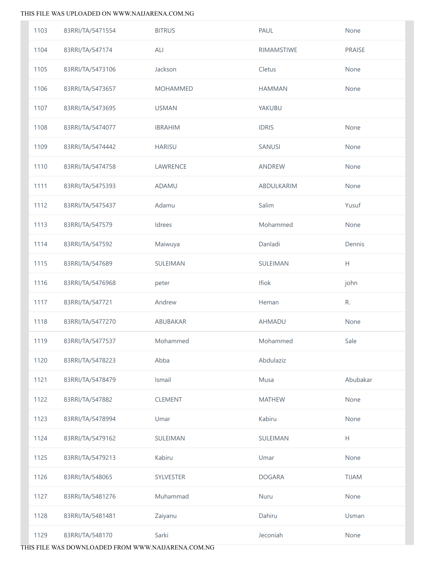| 1103 | 83RRI/TA/5471554 | <b>BITRUS</b>   | PAUL          | None                                                        |
|------|------------------|-----------------|---------------|-------------------------------------------------------------|
| 1104 | 83RRI/TA/547174  | ALI             | RIMAMSTIWE    | <b>PRAISE</b>                                               |
| 1105 | 83RRI/TA/5473106 | Jackson         | Cletus        | None                                                        |
| 1106 | 83RRI/TA/5473657 | <b>MOHAMMED</b> | <b>HAMMAN</b> | None                                                        |
| 1107 | 83RRI/TA/5473695 | <b>USMAN</b>    | YAKUBU        |                                                             |
| 1108 | 83RRI/TA/5474077 | <b>IBRAHIM</b>  | <b>IDRIS</b>  | None                                                        |
| 1109 | 83RRI/TA/5474442 | <b>HARISU</b>   | SANUSI        | None                                                        |
| 1110 | 83RRI/TA/5474758 | LAWRENCE        | ANDREW        | None                                                        |
| 1111 | 83RRI/TA/5475393 | ADAMU           | ABDULKARIM    | None                                                        |
| 1112 | 83RRI/TA/5475437 | Adamu           | Salim         | Yusuf                                                       |
| 1113 | 83RRI/TA/547579  | Idrees          | Mohammed      | None                                                        |
| 1114 | 83RRI/TA/547592  | Maiwuya         | Danladi       | Dennis                                                      |
| 1115 | 83RRI/TA/547689  | SULEIMAN        | SULEIMAN      | $\mathsf{H}% _{\mathbb{R}}^{1}\left( \mathbb{R}^{2}\right)$ |
| 1116 | 83RRI/TA/5476968 | peter           | Ifiok         | john                                                        |
| 1117 | 83RRI/TA/547721  | Andrew          | Heman         | R.                                                          |
| 1118 | 83RRI/TA/5477270 | ABUBAKAR        | AHMADU        | None                                                        |
| 1119 | 83RRI/TA/5477537 | Mohammed        | Mohammed      | Sale                                                        |
| 1120 | 83RRI/TA/5478223 | Abba            | Abdulaziz     |                                                             |
| 1121 | 83RRI/TA/5478479 | Ismail          | Musa          | Abubakar                                                    |
| 1122 | 83RRI/TA/547882  | CLEMENT         | <b>MATHEW</b> | None                                                        |
| 1123 | 83RRI/TA/5478994 | Umar            | Kabiru        | None                                                        |
| 1124 | 83RRI/TA/5479162 | SULEIMAN        | SULEIMAN      | H                                                           |
| 1125 | 83RRI/TA/5479213 | Kabiru          | Umar          | None                                                        |
| 1126 | 83RRI/TA/548065  | SYLVESTER       | <b>DOGARA</b> | <b>TIJAM</b>                                                |
| 1127 | 83RRI/TA/5481276 | Muhammad        | Nuru          | None                                                        |
| 1128 | 83RRI/TA/5481481 | Zaiyanu         | Dahiru        | Usman                                                       |
| 1129 | 83RRI/TA/548170  | Sarki           | Jeconiah      | None                                                        |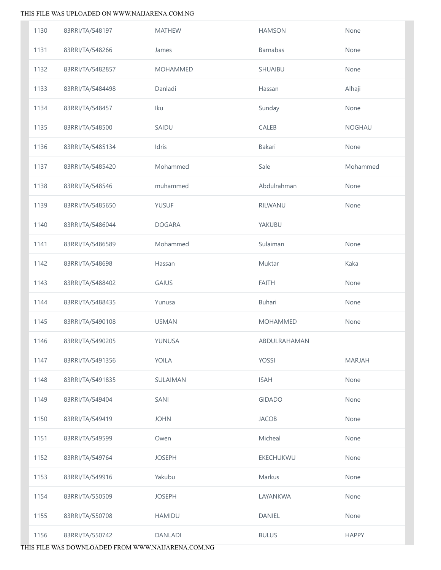| 1130 | 83RRI/TA/548197  | <b>MATHEW</b>   | <b>HAMSON</b>   | None          |
|------|------------------|-----------------|-----------------|---------------|
| 1131 | 83RRI/TA/548266  | James           | Barnabas        | None          |
| 1132 | 83RRI/TA/5482857 | <b>MOHAMMED</b> | SHUAIBU         | None          |
| 1133 | 83RRI/TA/5484498 | Danladi         | Hassan          | Alhaji        |
| 1134 | 83RRI/TA/548457  | Iku             | Sunday          | None          |
| 1135 | 83RRI/TA/548500  | SAIDU           | CALEB           | NOGHAU        |
| 1136 | 83RRI/TA/5485134 | Idris           | Bakari          | None          |
| 1137 | 83RRI/TA/5485420 | Mohammed        | Sale            | Mohammed      |
| 1138 | 83RRI/TA/548546  | muhammed        | Abdulrahman     | None          |
| 1139 | 83RRI/TA/5485650 | <b>YUSUF</b>    | RILWANU         | None          |
| 1140 | 83RRI/TA/5486044 | <b>DOGARA</b>   | YAKUBU          |               |
| 1141 | 83RRI/TA/5486589 | Mohammed        | Sulaiman        | None          |
| 1142 | 83RRI/TA/548698  | Hassan          | Muktar          | Kaka          |
| 1143 | 83RRI/TA/5488402 | GAIUS           | <b>FAITH</b>    | None          |
| 1144 | 83RRI/TA/5488435 | Yunusa          | Buhari          | None          |
| 1145 | 83RRI/TA/5490108 | <b>USMAN</b>    | <b>MOHAMMED</b> | None          |
| 1146 | 83RRI/TA/5490205 | YUNUSA          | ABDULRAHAMAN    |               |
| 1147 | 83RRI/TA/5491356 | YOILA           | YOSSI           | <b>MARJAH</b> |
| 1148 | 83RRI/TA/5491835 | SULAIMAN        | <b>ISAH</b>     | None          |
| 1149 | 83RRI/TA/549404  | SANI            | <b>GIDADO</b>   | None          |
| 1150 | 83RRI/TA/549419  | <b>JOHN</b>     | <b>JACOB</b>    | None          |
| 1151 | 83RRI/TA/549599  | Owen            | Micheal         | None          |
| 1152 | 83RRI/TA/549764  | <b>JOSEPH</b>   | EKECHUKWU       | None          |
| 1153 | 83RRI/TA/549916  | Yakubu          | Markus          | None          |
| 1154 | 83RRI/TA/550509  | <b>JOSEPH</b>   | LAYANKWA        | None          |
| 1155 | 83RRI/TA/550708  | <b>HAMIDU</b>   | DANIEL          | None          |
| 1156 | 83RRI/TA/550742  | <b>DANLADI</b>  | <b>BULUS</b>    | <b>HAPPY</b>  |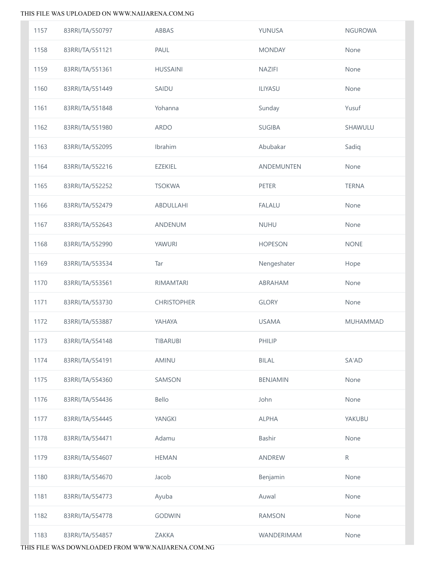| 1157 | 83RRI/TA/550797 | ABBAS              | YUNUSA          | <b>NGUROWA</b>  |
|------|-----------------|--------------------|-----------------|-----------------|
| 1158 | 83RRI/TA/551121 | PAUL               | <b>MONDAY</b>   | None            |
| 1159 | 83RRI/TA/551361 | <b>HUSSAINI</b>    | <b>NAZIFI</b>   | None            |
| 1160 | 83RRI/TA/551449 | SAIDU              | ILIYASU         | None            |
| 1161 | 83RRI/TA/551848 | Yohanna            | Sunday          | Yusuf           |
| 1162 | 83RRI/TA/551980 | ARDO               | <b>SUGIBA</b>   | SHAWULU         |
| 1163 | 83RRI/TA/552095 | Ibrahim            | Abubakar        | Sadiq           |
| 1164 | 83RRI/TA/552216 | <b>EZEKIEL</b>     | ANDEMUNTEN      | None            |
| 1165 | 83RRI/TA/552252 | <b>TSOKWA</b>      | PETER           | <b>TERNA</b>    |
| 1166 | 83RRI/TA/552479 | ABDULLAHI          | <b>FALALU</b>   | None            |
| 1167 | 83RRI/TA/552643 | ANDENUM            | <b>NUHU</b>     | None            |
| 1168 | 83RRI/TA/552990 | YAWURI             | <b>HOPESON</b>  | <b>NONE</b>     |
| 1169 | 83RRI/TA/553534 | Tar                | Nengeshater     | Hope            |
| 1170 | 83RRI/TA/553561 | RIMAMTARI          | ABRAHAM         | None            |
| 1171 | 83RRI/TA/553730 | <b>CHRISTOPHER</b> | <b>GLORY</b>    | None            |
| 1172 | 83RRI/TA/553887 | YAHAYA             | <b>USAMA</b>    | <b>MUHAMMAD</b> |
| 1173 | 83RRI/TA/554148 | <b>TIBARUBI</b>    | PHILIP          |                 |
| 1174 | 83RRI/TA/554191 | AMINU              | <b>BILAL</b>    | SA'AD           |
| 1175 | 83RRI/TA/554360 | SAMSON             | <b>BENJAMIN</b> | None            |
| 1176 | 83RRI/TA/554436 | Bello              | John            | None            |
| 1177 | 83RRI/TA/554445 | YANGKI             | <b>ALPHA</b>    | YAKUBU          |
| 1178 | 83RRI/TA/554471 | Adamu              | Bashir          | None            |
| 1179 | 83RRI/TA/554607 | <b>HEMAN</b>       | ANDREW          | $\mathsf{R}$    |
| 1180 | 83RRI/TA/554670 | Jacob              | Benjamin        | None            |
| 1181 | 83RRI/TA/554773 | Ayuba              | Auwal           | None            |
| 1182 | 83RRI/TA/554778 | <b>GODWIN</b>      | <b>RAMSON</b>   | None            |
|      |                 |                    |                 |                 |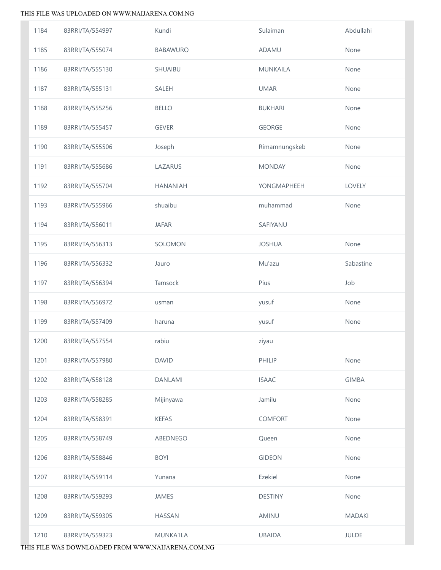| 1184 | 83RRI/TA/554997 | Kundi            | Sulaiman       | Abdullahi     |
|------|-----------------|------------------|----------------|---------------|
| 1185 | 83RRI/TA/555074 | <b>BABAWURO</b>  | ADAMU          | None          |
| 1186 | 83RRI/TA/555130 | SHUAIBU          | MUNKAILA       | None          |
| 1187 | 83RRI/TA/555131 | SALEH            | <b>UMAR</b>    | None          |
| 1188 | 83RRI/TA/555256 | <b>BELLO</b>     | <b>BUKHARI</b> | None          |
| 1189 | 83RRI/TA/555457 | <b>GEVER</b>     | <b>GEORGE</b>  | None          |
| 1190 | 83RRI/TA/555506 | Joseph           | Rimamnungskeb  | None          |
| 1191 | 83RRI/TA/555686 | LAZARUS          | <b>MONDAY</b>  | None          |
| 1192 | 83RRI/TA/555704 | <b>HANANIAH</b>  | YONGMAPHEEH    | LOVELY        |
| 1193 | 83RRI/TA/555966 | shuaibu          | muhammad       | None          |
| 1194 | 83RRI/TA/556011 | <b>JAFAR</b>     | SAFIYANU       |               |
| 1195 | 83RRI/TA/556313 | SOLOMON          | <b>JOSHUA</b>  | None          |
| 1196 | 83RRI/TA/556332 | Jauro            | Mu'azu         | Sabastine     |
| 1197 | 83RRI/TA/556394 | Tamsock          | Pius           | Job           |
| 1198 | 83RRI/TA/556972 | usman            | yusuf          | None          |
| 1199 | 83RRI/TA/557409 | haruna           | yusuf          | None          |
| 1200 | 83RRI/TA/557554 | rabiu            | ziyau          |               |
| 1201 | 83RRI/TA/557980 | <b>DAVID</b>     | PHILIP         | None          |
| 1202 | 83RRI/TA/558128 | <b>DANLAMI</b>   | <b>ISAAC</b>   | <b>GIMBA</b>  |
| 1203 | 83RRI/TA/558285 | Mijinyawa        | Jamilu         | None          |
| 1204 | 83RRI/TA/558391 | <b>KEFAS</b>     | <b>COMFORT</b> | None          |
| 1205 | 83RRI/TA/558749 | ABEDNEGO         | Queen          | None          |
| 1206 | 83RRI/TA/558846 | <b>BOYI</b>      | <b>GIDEON</b>  | None          |
| 1207 | 83RRI/TA/559114 | Yunana           | Ezekiel        | None          |
| 1208 | 83RRI/TA/559293 | JAMES            | <b>DESTINY</b> | None          |
| 1209 | 83RRI/TA/559305 | <b>HASSAN</b>    | <b>AMINU</b>   | <b>MADAKI</b> |
| 1210 | 83RRI/TA/559323 | <b>MUNKA'ILA</b> | <b>UBAIDA</b>  | <b>JULDE</b>  |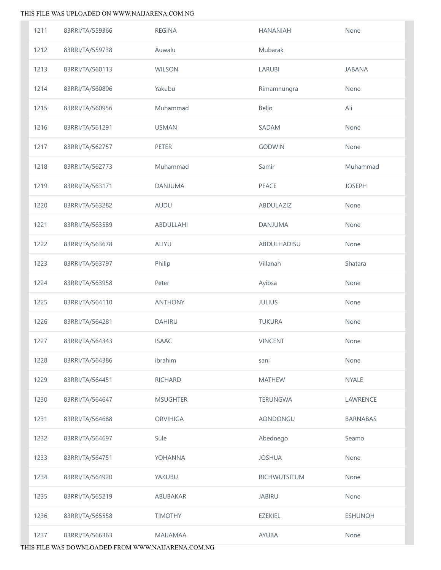| 1211 | 83RRI/TA/559366 | <b>REGINA</b>   | <b>HANANIAH</b> | None           |
|------|-----------------|-----------------|-----------------|----------------|
| 1212 | 83RRI/TA/559738 | Auwalu          | Mubarak         |                |
| 1213 | 83RRI/TA/560113 | <b>WILSON</b>   | LARUBI          | <b>JABANA</b>  |
| 1214 | 83RRI/TA/560806 | Yakubu          | Rimamnungra     | None           |
| 1215 | 83RRI/TA/560956 | Muhammad        | Bello           | Ali            |
| 1216 | 83RRI/TA/561291 | <b>USMAN</b>    | <b>SADAM</b>    | None           |
| 1217 | 83RRI/TA/562757 | <b>PETER</b>    | <b>GODWIN</b>   | None           |
| 1218 | 83RRI/TA/562773 | Muhammad        | Samir           | Muhammad       |
| 1219 | 83RRI/TA/563171 | DANJUMA         | PEACE           | <b>JOSEPH</b>  |
| 1220 | 83RRI/TA/563282 | <b>AUDU</b>     | ABDULAZIZ       | None           |
| 1221 | 83RRI/TA/563589 | ABDULLAHI       | <b>DANJUMA</b>  | None           |
| 1222 | 83RRI/TA/563678 | <b>ALIYU</b>    | ABDULHADISU     | None           |
| 1223 | 83RRI/TA/563797 | Philip          | Villanah        | Shatara        |
| 1224 | 83RRI/TA/563958 | Peter           | Ayibsa          | None           |
| 1225 | 83RRI/TA/564110 | <b>ANTHONY</b>  | <b>JULIUS</b>   | None           |
| 1226 | 83RRI/TA/564281 | DAHIRU          | <b>TUKURA</b>   | None           |
| 1227 | 83RRI/TA/564343 | <b>ISAAC</b>    | <b>VINCENT</b>  | None           |
| 1228 | 83RRI/TA/564386 | ibrahim         | sani            | None           |
| 1229 | 83RRI/TA/564451 | <b>RICHARD</b>  | <b>MATHEW</b>   | <b>NYALE</b>   |
| 1230 | 83RRI/TA/564647 | <b>MSUGHTER</b> | TERUNGWA        | LAWRENCE       |
| 1231 | 83RRI/TA/564688 | <b>ORVIHIGA</b> | AONDONGU        | BARNABAS       |
| 1232 | 83RRI/TA/564697 | Sule            | Abednego        | Seamo          |
| 1233 | 83RRI/TA/564751 | YOHANNA         | <b>JOSHUA</b>   | None           |
| 1234 | 83RRI/TA/564920 | YAKUBU          | RICHWUTSITUM    | None           |
| 1235 | 83RRI/TA/565219 | ABUBAKAR        | <b>JABIRU</b>   | None           |
| 1236 | 83RRI/TA/565558 | <b>TIMOTHY</b>  | <b>EZEKIEL</b>  | <b>ESHUNOH</b> |
| 1237 | 83RRI/TA/566363 | <b>MAIJAMAA</b> | AYUBA           | None           |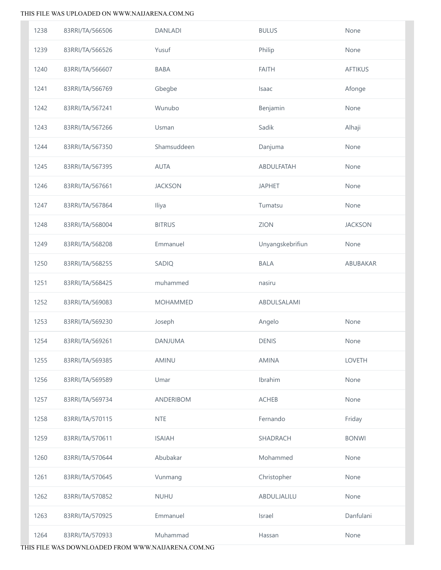| 1238 | 83RRI/TA/566506 | <b>DANLADI</b>   | <b>BULUS</b>     | None           |
|------|-----------------|------------------|------------------|----------------|
| 1239 | 83RRI/TA/566526 | Yusuf            | Philip           | None           |
| 1240 | 83RRI/TA/566607 | BABA             | <b>FAITH</b>     | <b>AFTIKUS</b> |
| 1241 | 83RRI/TA/566769 | Gbegbe           | Isaac            | Afonge         |
| 1242 | 83RRI/TA/567241 | Wunubo           | Benjamin         | None           |
| 1243 | 83RRI/TA/567266 | Usman            | Sadik            | Alhaji         |
| 1244 | 83RRI/TA/567350 | Shamsuddeen      | Danjuma          | None           |
| 1245 | 83RRI/TA/567395 | <b>AUTA</b>      | ABDULFATAH       | None           |
| 1246 | 83RRI/TA/567661 | <b>JACKSON</b>   | <b>JAPHET</b>    | None           |
| 1247 | 83RRI/TA/567864 | Iliya            | Tumatsu          | None           |
| 1248 | 83RRI/TA/568004 | <b>BITRUS</b>    | ZION             | <b>JACKSON</b> |
| 1249 | 83RRI/TA/568208 | Emmanuel         | Unyangskebrifiun | None           |
| 1250 | 83RRI/TA/568255 | SADIQ            | <b>BALA</b>      | ABUBAKAR       |
| 1251 | 83RRI/TA/568425 | muhammed         | nasiru           |                |
| 1252 | 83RRI/TA/569083 | <b>MOHAMMED</b>  | ABDULSALAMI      |                |
| 1253 | 83RRI/TA/569230 | Joseph           | Angelo           | None           |
| 1254 | 83RRI/TA/569261 | DANJUMA          | <b>DENIS</b>     | None           |
| 1255 | 83RRI/TA/569385 | AMINU            | <b>AMINA</b>     | <b>LOVETH</b>  |
| 1256 | 83RRI/TA/569589 | Umar             | Ibrahim          | None           |
| 1257 | 83RRI/TA/569734 | <b>ANDERIBOM</b> | <b>ACHEB</b>     | None           |
| 1258 | 83RRI/TA/570115 | <b>NTE</b>       | Fernando         | Friday         |
| 1259 |                 |                  |                  |                |
| 1260 | 83RRI/TA/570611 | <b>ISAIAH</b>    | SHADRACH         | <b>BONWI</b>   |
|      | 83RRI/TA/570644 | Abubakar         | Mohammed         | None           |
| 1261 | 83RRI/TA/570645 | Vunmang          | Christopher      | None           |
| 1262 | 83RRI/TA/570852 | <b>NUHU</b>      | ABDULJALILU      | None           |
| 1263 | 83RRI/TA/570925 | Emmanuel         | Israel           | Danfulani      |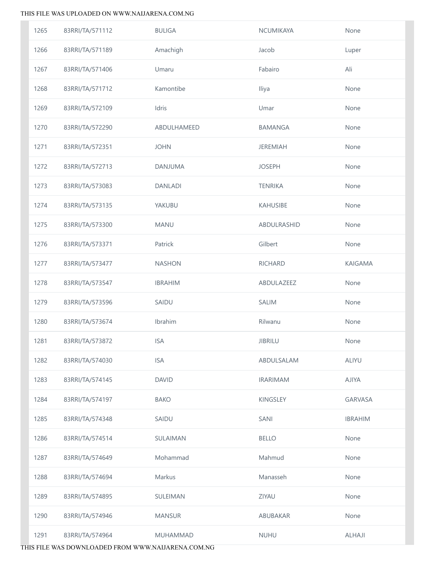| 1265 | 83RRI/TA/571112 | <b>BULIGA</b>   | NCUMIKAYA       | None           |
|------|-----------------|-----------------|-----------------|----------------|
| 1266 | 83RRI/TA/571189 | Amachigh        | Jacob           | Luper          |
| 1267 | 83RRI/TA/571406 | Umaru           | Fabairo         | Ali            |
| 1268 | 83RRI/TA/571712 | Kamontibe       | Iliya           | None           |
| 1269 | 83RRI/TA/572109 | Idris           | Umar            | None           |
| 1270 | 83RRI/TA/572290 | ABDULHAMEED     | BAMANGA         | None           |
| 1271 | 83RRI/TA/572351 | <b>JOHN</b>     | <b>JEREMIAH</b> | None           |
| 1272 | 83RRI/TA/572713 | DANJUMA         | <b>JOSEPH</b>   | None           |
| 1273 | 83RRI/TA/573083 | <b>DANLADI</b>  | <b>TENRIKA</b>  | None           |
| 1274 | 83RRI/TA/573135 | YAKUBU          | KAHUSIBE        | None           |
| 1275 | 83RRI/TA/573300 | <b>MANU</b>     | ABDULRASHID     | None           |
| 1276 | 83RRI/TA/573371 | Patrick         | Gilbert         | None           |
| 1277 | 83RRI/TA/573477 | <b>NASHON</b>   | RICHARD         | KAIGAMA        |
| 1278 | 83RRI/TA/573547 | <b>IBRAHIM</b>  | ABDULAZEEZ      | None           |
| 1279 | 83RRI/TA/573596 | SAIDU           | <b>SALIM</b>    | None           |
| 1280 | 83RRI/TA/573674 | Ibrahim         | Rilwanu         | None           |
| 1281 | 83RRI/TA/573872 | <b>ISA</b>      | <b>JIBRILU</b>  | None           |
| 1282 | 83RRI/TA/574030 | <b>ISA</b>      | ABDULSALAM      | <b>ALIYU</b>   |
| 1283 | 83RRI/TA/574145 | <b>DAVID</b>    | <b>IRARIMAM</b> | <b>AJIYA</b>   |
| 1284 | 83RRI/TA/574197 | <b>BAKO</b>     | KINGSLEY        | <b>GARVASA</b> |
| 1285 | 83RRI/TA/574348 | SAIDU           | SANI            | <b>IBRAHIM</b> |
| 1286 | 83RRI/TA/574514 | SULAIMAN        | <b>BELLO</b>    | None           |
| 1287 | 83RRI/TA/574649 | Mohammad        | Mahmud          | None           |
| 1288 | 83RRI/TA/574694 | Markus          | Manasseh        | None           |
| 1289 | 83RRI/TA/574895 | SULEIMAN        | <b>ZIYAU</b>    | None           |
| 1290 | 83RRI/TA/574946 | <b>MANSUR</b>   | ABUBAKAR        | None           |
| 1291 | 83RRI/TA/574964 | <b>MUHAMMAD</b> | <b>NUHU</b>     | ALHAJI         |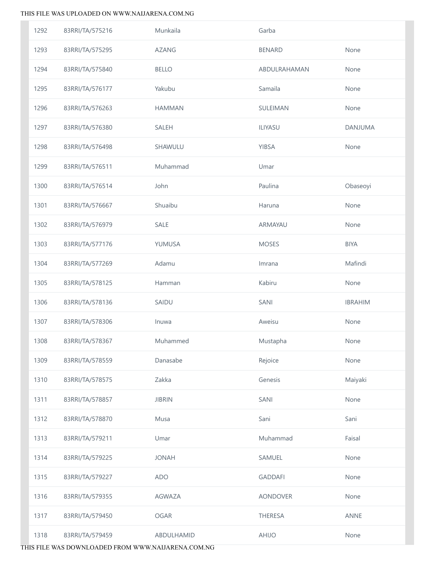| 1292 | 83RRI/TA/575216 | Munkaila      | Garba           |                |
|------|-----------------|---------------|-----------------|----------------|
| 1293 | 83RRI/TA/575295 | <b>AZANG</b>  | <b>BENARD</b>   | None           |
| 1294 | 83RRI/TA/575840 | <b>BELLO</b>  | ABDULRAHAMAN    | None           |
| 1295 | 83RRI/TA/576177 | Yakubu        | Samaila         | None           |
| 1296 | 83RRI/TA/576263 | <b>HAMMAN</b> | SULEIMAN        | None           |
| 1297 | 83RRI/TA/576380 | SALEH         | ILIYASU         | <b>DANJUMA</b> |
| 1298 | 83RRI/TA/576498 | SHAWULU       | YIBSA           | None           |
| 1299 | 83RRI/TA/576511 | Muhammad      | Umar            |                |
| 1300 | 83RRI/TA/576514 | John          | Paulina         | Obaseoyi       |
| 1301 | 83RRI/TA/576667 | Shuaibu       | Haruna          | None           |
| 1302 | 83RRI/TA/576979 | SALE          | ARMAYAU         | None           |
| 1303 | 83RRI/TA/577176 | YUMUSA        | <b>MOSES</b>    | <b>BIYA</b>    |
| 1304 | 83RRI/TA/577269 | Adamu         | Imrana          | Mafindi        |
| 1305 | 83RRI/TA/578125 | Hamman        | Kabiru          | None           |
| 1306 | 83RRI/TA/578136 | SAIDU         | SANI            | <b>IBRAHIM</b> |
| 1307 | 83RRI/TA/578306 | Inuwa         | Aweisu          | None           |
| 1308 | 83RRI/TA/578367 | Muhammed      | Mustapha        | None           |
| 1309 | 83RRI/TA/578559 | Danasabe      | Rejoice         | None           |
| 1310 | 83RRI/TA/578575 | Zakka         | Genesis         | Maiyaki        |
| 1311 | 83RRI/TA/578857 | <b>JIBRIN</b> | SANI            | None           |
| 1312 | 83RRI/TA/578870 | Musa          | Sani            | Sani           |
| 1313 | 83RRI/TA/579211 | Umar          | Muhammad        | Faisal         |
| 1314 | 83RRI/TA/579225 | <b>JONAH</b>  | SAMUEL          | None           |
| 1315 | 83RRI/TA/579227 | <b>ADO</b>    | <b>GADDAFI</b>  | None           |
| 1316 | 83RRI/TA/579355 | AGWAZA        | <b>AONDOVER</b> | None           |
| 1317 | 83RRI/TA/579450 | OGAR          | THERESA         | <b>ANNE</b>    |
| 1318 | 83RRI/TA/579459 | ABDULHAMID    | AHIJO           | None           |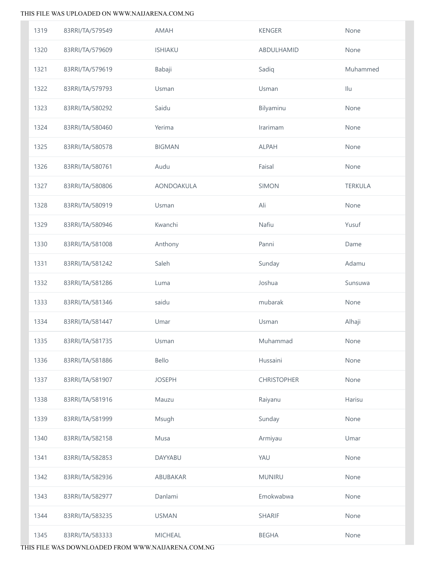| 1319 | 83RRI/TA/579549 | AMAH           | <b>KENGER</b>      | None           |
|------|-----------------|----------------|--------------------|----------------|
| 1320 | 83RRI/TA/579609 | <b>ISHIAKU</b> | ABDULHAMID         | None           |
| 1321 | 83RRI/TA/579619 | Babaji         | Sadiq              | Muhammed       |
| 1322 | 83RRI/TA/579793 | Usman          | Usman              | Ilu            |
| 1323 | 83RRI/TA/580292 | Saidu          | Bilyaminu          | None           |
| 1324 | 83RRI/TA/580460 | Yerima         | Irarimam           | None           |
| 1325 | 83RRI/TA/580578 | <b>BIGMAN</b>  | <b>ALPAH</b>       | None           |
| 1326 | 83RRI/TA/580761 | Audu           | Faisal             | None           |
| 1327 | 83RRI/TA/580806 | AONDOAKULA     | SIMON              | <b>TERKULA</b> |
| 1328 | 83RRI/TA/580919 | Usman          | Ali                | None           |
| 1329 | 83RRI/TA/580946 | Kwanchi        | Nafiu              | Yusuf          |
| 1330 | 83RRI/TA/581008 | Anthony        | Panni              | Dame           |
| 1331 | 83RRI/TA/581242 | Saleh          | Sunday             | Adamu          |
| 1332 | 83RRI/TA/581286 | Luma           | Joshua             | Sunsuwa        |
| 1333 | 83RRI/TA/581346 | saidu          | mubarak            | None           |
| 1334 | 83RRI/TA/581447 | Umar           | Usman              | Alhaji         |
| 1335 | 83RRI/TA/581735 | Usman          | Muhammad           | None           |
| 1336 | 83RRI/TA/581886 | Bello          | Hussaini           | None           |
| 1337 | 83RRI/TA/581907 | <b>JOSEPH</b>  | <b>CHRISTOPHER</b> | None           |
| 1338 | 83RRI/TA/581916 | Mauzu          | Raiyanu            | Harisu         |
| 1339 | 83RRI/TA/581999 | Msugh          | Sunday             | None           |
| 1340 | 83RRI/TA/582158 | Musa           | Armiyau            | Umar           |
| 1341 | 83RRI/TA/582853 | DAYYABU        | YAU                | None           |
| 1342 | 83RRI/TA/582936 | ABUBAKAR       | <b>MUNIRU</b>      | None           |
| 1343 | 83RRI/TA/582977 | Danlami        | Emokwabwa          | None           |
| 1344 | 83RRI/TA/583235 | <b>USMAN</b>   | <b>SHARIF</b>      | None           |
| 1345 | 83RRI/TA/583333 | <b>MICHEAL</b> | <b>BEGHA</b>       | None           |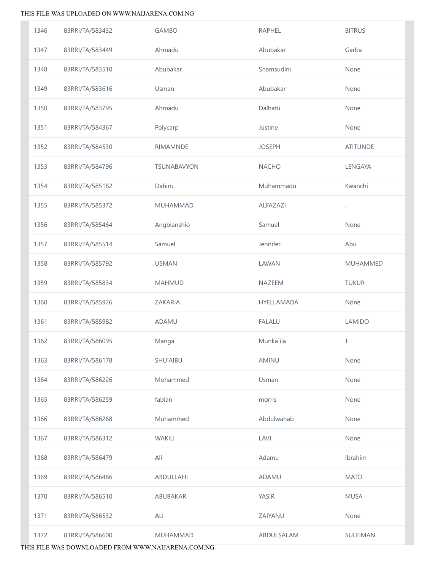| 1346 | 83RRI/TA/583432 | <b>GAMBO</b>       | <b>RAPHEL</b> | <b>BITRUS</b>   |
|------|-----------------|--------------------|---------------|-----------------|
| 1347 | 83RRI/TA/583449 | Ahmadu             | Abubakar      | Garba           |
| 1348 | 83RRI/TA/583510 | Abubakar           | Shamsudini    | None            |
| 1349 | 83RRI/TA/583616 | Usman              | Abubakar      | None            |
| 1350 | 83RRI/TA/583795 | Ahmadu             | Dalhatu       | None            |
| 1351 | 83RRI/TA/584367 | Polycarp           | Justine       | None            |
| 1352 | 83RRI/TA/584530 | <b>RIMAMNDE</b>    | <b>JOSEPH</b> | <b>ATITUNDE</b> |
| 1353 | 83RRI/TA/584796 | <b>TSUNABAVYON</b> | <b>NACHO</b>  | LENGAYA         |
| 1354 | 83RRI/TA/585182 | Dahiru             | Muhammadu     | Kwanchi         |
| 1355 | 83RRI/TA/585372 | <b>MUHAMMAD</b>    | ALFAZAZI      |                 |
| 1356 | 83RRI/TA/585464 | Angbianshio        | Samuel        | None            |
| 1357 | 83RRI/TA/585514 | Samuel             | Jennifer      | Abu             |
| 1358 | 83RRI/TA/585792 | <b>USMAN</b>       | LAWAN         | MUHAMMED        |
| 1359 | 83RRI/TA/585834 | <b>MAHMUD</b>      | NAZEEM        | <b>TUKUR</b>    |
| 1360 | 83RRI/TA/585926 | ZAKARIA            | HYELLAMADA    | None            |
| 1361 | 83RRI/TA/585982 | ADAMU              | <b>FALALU</b> | LAMIDO          |
| 1362 | 83RRI/TA/586095 | Manga              | Munka`ila     | J               |
| 1363 | 83RRI/TA/586178 | SHU'AIBU           | AMINU         | None            |
| 1364 | 83RRI/TA/586226 | Mohammed           | Usman         | None            |
| 1365 | 83RRI/TA/586259 | fabian             | morris        | None            |
| 1366 | 83RRI/TA/586268 | Muhammed           | Abdulwahab    | None            |
| 1367 | 83RRI/TA/586312 | <b>WAKILI</b>      | LAVI          | None            |
| 1368 | 83RRI/TA/586479 | Ali                | Adamu         | Ibrahim         |
| 1369 | 83RRI/TA/586486 | ABDULLAHI          | <b>ADAMU</b>  | <b>MATO</b>     |
| 1370 | 83RRI/TA/586510 | ABUBAKAR           | <b>YASIR</b>  | <b>MUSA</b>     |
| 1371 | 83RRI/TA/586532 | ALI                | ZAIYANU       | None            |
| 1372 | 83RRI/TA/586600 | MUHAMMAD           | ABDULSALAM    | SULEIMAN        |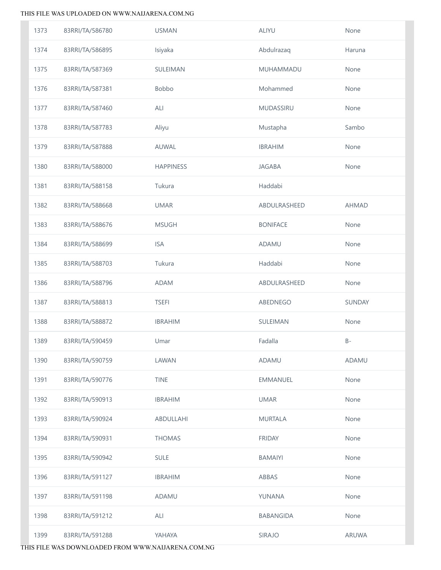| 1373 | 83RRI/TA/586780 | <b>USMAN</b>     | <b>ALIYU</b>    | None         |
|------|-----------------|------------------|-----------------|--------------|
| 1374 | 83RRI/TA/586895 | Isiyaka          | Abdulrazaq      | Haruna       |
| 1375 | 83RRI/TA/587369 | SULEIMAN         | MUHAMMADU       | None         |
| 1376 | 83RRI/TA/587381 | Bobbo            | Mohammed        | None         |
| 1377 | 83RRI/TA/587460 | ALI              | MUDASSIRU       | None         |
| 1378 | 83RRI/TA/587783 | Aliyu            | Mustapha        | Sambo        |
| 1379 | 83RRI/TA/587888 | AUWAL            | <b>IBRAHIM</b>  | None         |
| 1380 | 83RRI/TA/588000 | <b>HAPPINESS</b> | <b>JAGABA</b>   | None         |
| 1381 | 83RRI/TA/588158 | Tukura           | Haddabi         |              |
| 1382 | 83RRI/TA/588668 | <b>UMAR</b>      | ABDULRASHEED    | <b>AHMAD</b> |
| 1383 | 83RRI/TA/588676 | <b>MSUGH</b>     | <b>BONIFACE</b> | None         |
| 1384 | 83RRI/TA/588699 | <b>ISA</b>       | ADAMU           | None         |
| 1385 | 83RRI/TA/588703 | Tukura           | Haddabi         | None         |
| 1386 | 83RRI/TA/588796 | <b>ADAM</b>      | ABDULRASHEED    | None         |
| 1387 | 83RRI/TA/588813 | <b>TSEFI</b>     | ABEDNEGO        | SUNDAY       |
| 1388 | 83RRI/TA/588872 | <b>IBRAHIM</b>   | SULEIMAN        | None         |
| 1389 | 83RRI/TA/590459 | Umar             | Fadalla         | $B -$        |
| 1390 | 83RRI/TA/590759 | LAWAN            | ADAMU           | <b>ADAMU</b> |
| 1391 | 83RRI/TA/590776 | <b>TINE</b>      | EMMANUEL        | None         |
| 1392 | 83RRI/TA/590913 | <b>IBRAHIM</b>   | <b>UMAR</b>     | None         |
| 1393 | 83RRI/TA/590924 | ABDULLAHI        | <b>MURTALA</b>  | None         |
| 1394 | 83RRI/TA/590931 | <b>THOMAS</b>    | <b>FRIDAY</b>   | None         |
| 1395 | 83RRI/TA/590942 | <b>SULE</b>      | <b>BAMAIYI</b>  | None         |
| 1396 | 83RRI/TA/591127 | <b>IBRAHIM</b>   | ABBAS           | None         |
| 1397 | 83RRI/TA/591198 | ADAMU            | YUNANA          | None         |
| 1398 | 83RRI/TA/591212 | ALI              | BABANGIDA       | None         |
| 1399 | 83RRI/TA/591288 | YAHAYA           | SIRAJO          | ARUWA        |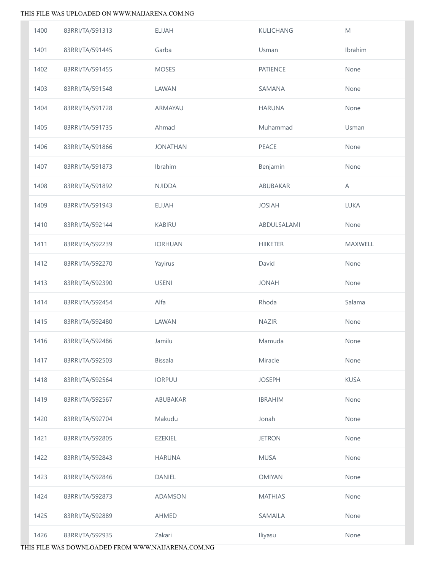| 1400 | 83RRI/TA/591313 | <b>ELIJAH</b>   | <b>KULICHANG</b> | M           |
|------|-----------------|-----------------|------------------|-------------|
| 1401 | 83RRI/TA/591445 | Garba           | Usman            | Ibrahim     |
| 1402 | 83RRI/TA/591455 | <b>MOSES</b>    | <b>PATIENCE</b>  | None        |
| 1403 | 83RRI/TA/591548 | LAWAN           | SAMANA           | None        |
| 1404 | 83RRI/TA/591728 | ARMAYAU         | <b>HARUNA</b>    | None        |
| 1405 | 83RRI/TA/591735 | Ahmad           | Muhammad         | Usman       |
| 1406 | 83RRI/TA/591866 | <b>JONATHAN</b> | PEACE            | None        |
| 1407 | 83RRI/TA/591873 | Ibrahim         | Benjamin         | None        |
| 1408 | 83RRI/TA/591892 | <b>NJIDDA</b>   | ABUBAKAR         | A           |
| 1409 | 83RRI/TA/591943 | <b>ELIJAH</b>   | <b>JOSIAH</b>    | <b>LUKA</b> |
| 1410 | 83RRI/TA/592144 | <b>KABIRU</b>   | ABDULSALAMI      | None        |
| 1411 | 83RRI/TA/592239 | <b>IORHUAN</b>  | <b>HIIKETER</b>  | MAXWELL     |
| 1412 | 83RRI/TA/592270 | Yayirus         | David            | None        |
| 1413 | 83RRI/TA/592390 | <b>USENI</b>    | <b>JONAH</b>     | None        |
| 1414 | 83RRI/TA/592454 | Alfa            | Rhoda            | Salama      |
| 1415 | 83RRI/TA/592480 | LAWAN           | <b>NAZIR</b>     | None        |
| 1416 | 83RRI/TA/592486 | Jamilu          | Mamuda           | None        |
| 1417 | 83RRI/TA/592503 | <b>Bissala</b>  | Miracle          | None        |
| 1418 | 83RRI/TA/592564 | <b>IORPUU</b>   | <b>JOSEPH</b>    | <b>KUSA</b> |
| 1419 | 83RRI/TA/592567 | ABUBAKAR        | <b>IBRAHIM</b>   | None        |
| 1420 | 83RRI/TA/592704 | Makudu          | Jonah            | None        |
| 1421 | 83RRI/TA/592805 | <b>EZEKIEL</b>  | <b>JETRON</b>    | None        |
| 1422 | 83RRI/TA/592843 | <b>HARUNA</b>   | <b>MUSA</b>      | None        |
| 1423 | 83RRI/TA/592846 | DANIEL          | <b>OMIYAN</b>    | None        |
| 1424 | 83RRI/TA/592873 | <b>ADAMSON</b>  | <b>MATHIAS</b>   | None        |
| 1425 | 83RRI/TA/592889 | <b>AHMED</b>    | SAMAILA          | None        |
| 1426 | 83RRI/TA/592935 | Zakari          | Iliyasu          | None        |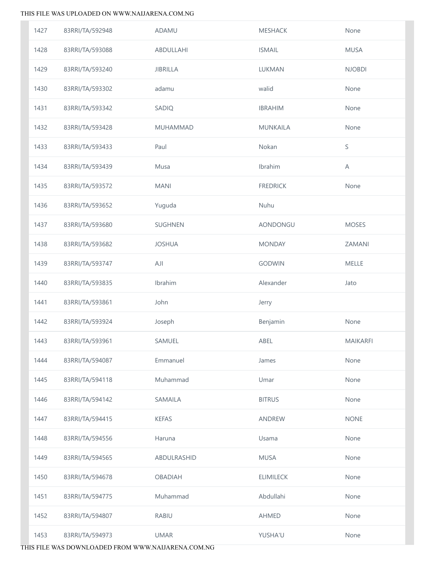| 1427 | 83RRI/TA/592948 | ADAMU           | <b>MESHACK</b>   | None            |
|------|-----------------|-----------------|------------------|-----------------|
| 1428 | 83RRI/TA/593088 | ABDULLAHI       | <b>ISMAIL</b>    | <b>MUSA</b>     |
| 1429 | 83RRI/TA/593240 | <b>JIBRILLA</b> | LUKMAN           | <b>NJOBDI</b>   |
| 1430 | 83RRI/TA/593302 | adamu           | walid            | None            |
| 1431 | 83RRI/TA/593342 | SADIQ           | <b>IBRAHIM</b>   | None            |
| 1432 | 83RRI/TA/593428 | <b>MUHAMMAD</b> | <b>MUNKAILA</b>  | None            |
| 1433 | 83RRI/TA/593433 | Paul            | Nokan            | $\mathsf S$     |
| 1434 | 83RRI/TA/593439 | Musa            | Ibrahim          | Α               |
| 1435 | 83RRI/TA/593572 | <b>MANI</b>     | <b>FREDRICK</b>  | None            |
| 1436 | 83RRI/TA/593652 | Yuguda          | Nuhu             |                 |
| 1437 | 83RRI/TA/593680 | SUGHNEN         | AONDONGU         | <b>MOSES</b>    |
| 1438 | 83RRI/TA/593682 | <b>JOSHUA</b>   | <b>MONDAY</b>    | ZAMANI          |
| 1439 | 83RRI/TA/593747 | AJI             | <b>GODWIN</b>    | MELLE           |
| 1440 | 83RRI/TA/593835 | Ibrahim         | Alexander        | Jato            |
| 1441 | 83RRI/TA/593861 | John            | Jerry            |                 |
| 1442 | 83RRI/TA/593924 | Joseph          | Benjamin         | None            |
| 1443 | 83RRI/TA/593961 | SAMUEL          | ABEL             | <b>MAIKARFI</b> |
| 1444 | 83RRI/TA/594087 | Emmanuel        | James            | None            |
| 1445 | 83RRI/TA/594118 | Muhammad        | Umar             | None            |
| 1446 | 83RRI/TA/594142 | SAMAILA         | <b>BITRUS</b>    | None            |
| 1447 | 83RRI/TA/594415 | <b>KEFAS</b>    | ANDREW           | <b>NONE</b>     |
| 1448 | 83RRI/TA/594556 | Haruna          | Usama            | None            |
| 1449 | 83RRI/TA/594565 | ABDULRASHID     | <b>MUSA</b>      | None            |
| 1450 | 83RRI/TA/594678 | <b>OBADIAH</b>  | <b>ELIMILECK</b> | None            |
| 1451 | 83RRI/TA/594775 | Muhammad        | Abdullahi        | None            |
| 1452 | 83RRI/TA/594807 | <b>RABIU</b>    | <b>AHMED</b>     | None            |
| 1453 | 83RRI/TA/594973 | <b>UMAR</b>     | YUSHA'U          | None            |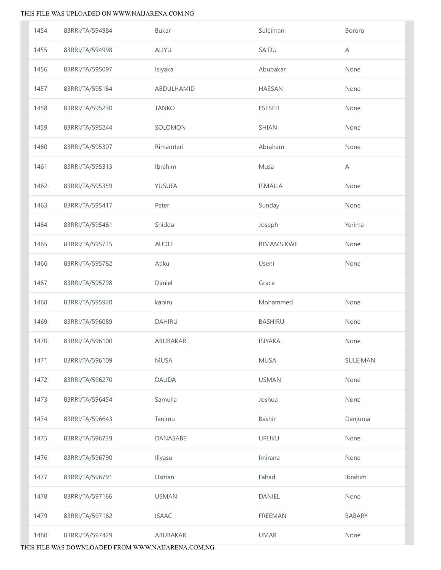| 1454 | 83RRI/TA/594984 | <b>Bukar</b>  | Suleiman       | Bororo        |
|------|-----------------|---------------|----------------|---------------|
| 1455 | 83RRI/TA/594998 | <b>ALIYU</b>  | SAIDU          | A             |
| 1456 | 83RRI/TA/595097 | Isiyaka       | Abubakar       | None          |
| 1457 | 83RRI/TA/595184 | ABDULHAMID    | <b>HASSAN</b>  | None          |
| 1458 | 83RRI/TA/595230 | <b>TANKO</b>  | <b>ESESEH</b>  | None          |
| 1459 | 83RRI/TA/595244 | SOLOMON       | <b>SHIAN</b>   | None          |
| 1460 | 83RRI/TA/595307 | Rimamtari     | Abraham        | None          |
| 1461 | 83RRI/TA/595313 | Ibrahim       | Musa           | A             |
| 1462 | 83RRI/TA/595359 | YUSUFA        | <b>ISMAILA</b> | None          |
| 1463 | 83RRI/TA/595417 | Peter         | Sunday         | None          |
| 1464 | 83RRI/TA/595461 | Shidda        | Joseph         | Yerima        |
| 1465 | 83RRI/TA/595735 | AUDU          | RIMAMSIKWE     | None          |
| 1466 | 83RRI/TA/595782 | Atiku         | Useni          | None          |
| 1467 | 83RRI/TA/595798 | Daniel        | Grace          |               |
| 1468 | 83RRI/TA/595920 | kabiru        | Mohammed       | None          |
| 1469 | 83RRI/TA/596089 | <b>DAHIRU</b> | <b>BASHIRU</b> | None          |
| 1470 | 83RRI/TA/596100 | ABUBAKAR      | <b>ISIYAKA</b> | None          |
| 1471 | 83RRI/TA/596109 | <b>MUSA</b>   | <b>MUSA</b>    | SULEIMAN      |
| 1472 | 83RRI/TA/596270 | <b>DAUDA</b>  | <b>USMAN</b>   | None          |
| 1473 | 83RRI/TA/596454 | Samuila       | Joshua         | None          |
| 1474 | 83RRI/TA/596643 | Tanimu        | Bashir         | Danjuma       |
| 1475 | 83RRI/TA/596739 | DANASABE      | <b>URUKU</b>   | None          |
| 1476 | 83RRI/TA/596790 | Iliyasu       | Imirana        | None          |
| 1477 | 83RRI/TA/596791 | Usman         | Fahad          | Ibrahim       |
| 1478 | 83RRI/TA/597166 | <b>USMAN</b>  | DANIEL         | None          |
| 1479 | 83RRI/TA/597182 | <b>ISAAC</b>  | FREEMAN        | <b>BABARY</b> |
| 1480 | 83RRI/TA/597429 | ABUBAKAR      | <b>UMAR</b>    | None          |